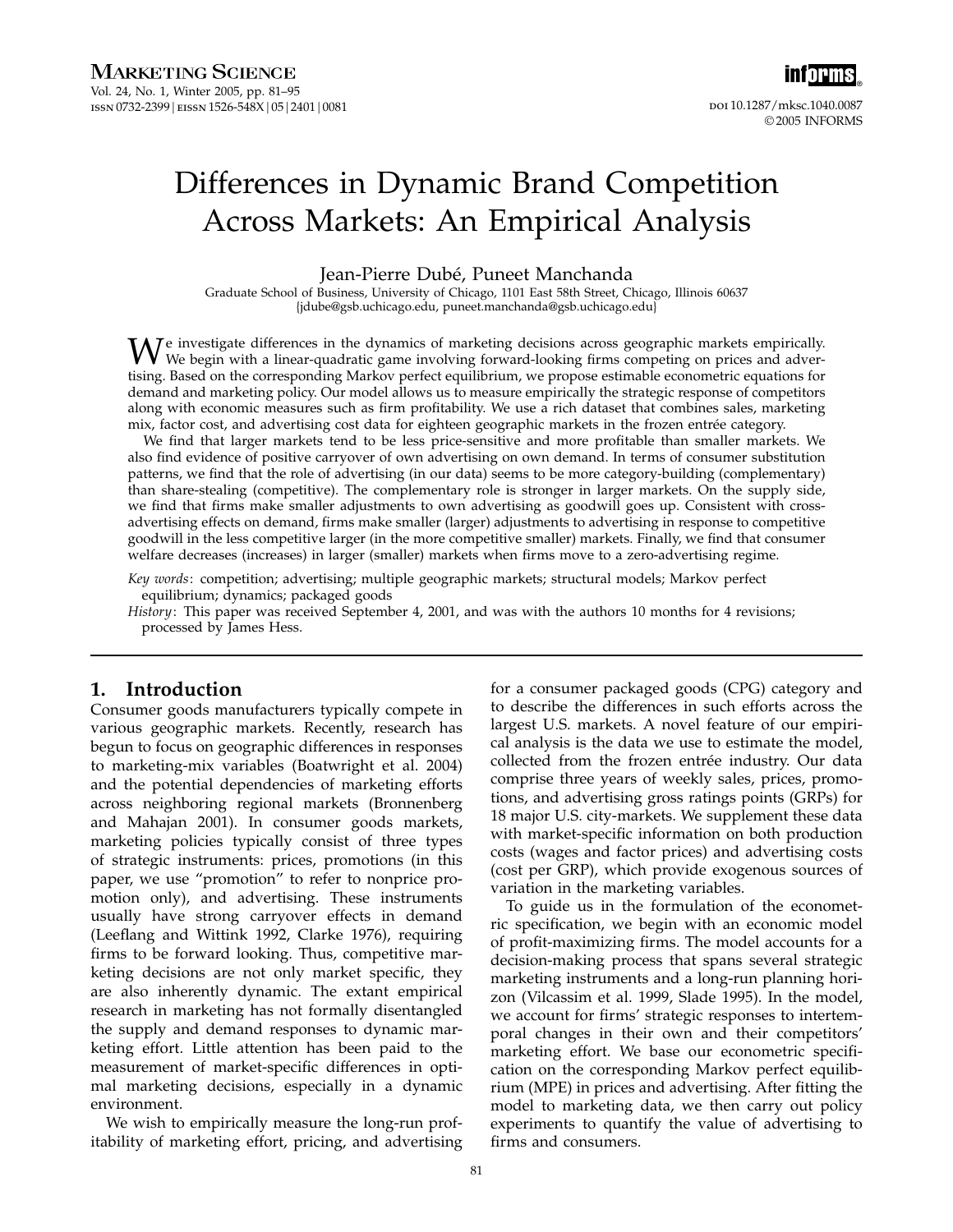in iorms doi 10.1287/mksc.1040.0087 ©2005 INFORMS

# Differences in Dynamic Brand Competition Across Markets: An Empirical Analysis

## Jean-Pierre Dubé, Puneet Manchanda

Graduate School of Business, University of Chicago, 1101 East 58th Street, Chicago, Illinois 60637 {jdube@gsb.uchicago.edu, puneet.manchanda@gsb.uchicago.edu}

We investigate differences in the dynamics of marketing decisions across geographic markets empirically.<br>We begin with a linear-quadratic game involving forward-looking firms competing on prices and adver-<br>titing Paard on tising. Based on the corresponding Markov perfect equilibrium, we propose estimable econometric equations for demand and marketing policy. Our model allows us to measure empirically the strategic response of competitors along with economic measures such as firm profitability. We use a rich dataset that combines sales, marketing mix, factor cost, and advertising cost data for eighteen geographic markets in the frozen entrée category.

We find that larger markets tend to be less price-sensitive and more profitable than smaller markets. We also find evidence of positive carryover of own advertising on own demand. In terms of consumer substitution patterns, we find that the role of advertising (in our data) seems to be more category-building (complementary) than share-stealing (competitive). The complementary role is stronger in larger markets. On the supply side, we find that firms make smaller adjustments to own advertising as goodwill goes up. Consistent with crossadvertising effects on demand, firms make smaller (larger) adjustments to advertising in response to competitive goodwill in the less competitive larger (in the more competitive smaller) markets. Finally, we find that consumer welfare decreases (increases) in larger (smaller) markets when firms move to a zero-advertising regime.

Key words: competition; advertising; multiple geographic markets; structural models; Markov perfect equilibrium; dynamics; packaged goods

History: This paper was received September 4, 2001, and was with the authors 10 months for 4 revisions; processed by James Hess.

## 1. Introduction

Consumer goods manufacturers typically compete in various geographic markets. Recently, research has begun to focus on geographic differences in responses to marketing-mix variables (Boatwright et al. 2004) and the potential dependencies of marketing efforts across neighboring regional markets (Bronnenberg and Mahajan 2001). In consumer goods markets, marketing policies typically consist of three types of strategic instruments: prices, promotions (in this paper, we use "promotion" to refer to nonprice promotion only), and advertising. These instruments usually have strong carryover effects in demand (Leeflang and Wittink 1992, Clarke 1976), requiring firms to be forward looking. Thus, competitive marketing decisions are not only market specific, they are also inherently dynamic. The extant empirical research in marketing has not formally disentangled the supply and demand responses to dynamic marketing effort. Little attention has been paid to the measurement of market-specific differences in optimal marketing decisions, especially in a dynamic environment.

We wish to empirically measure the long-run profitability of marketing effort, pricing, and advertising for a consumer packaged goods (CPG) category and to describe the differences in such efforts across the largest U.S. markets. A novel feature of our empirical analysis is the data we use to estimate the model, collected from the frozen entrée industry. Our data comprise three years of weekly sales, prices, promotions, and advertising gross ratings points (GRPs) for 18 major U.S. city-markets. We supplement these data with market-specific information on both production costs (wages and factor prices) and advertising costs (cost per GRP), which provide exogenous sources of variation in the marketing variables.

To guide us in the formulation of the econometric specification, we begin with an economic model of profit-maximizing firms. The model accounts for a decision-making process that spans several strategic marketing instruments and a long-run planning horizon (Vilcassim et al. 1999, Slade 1995). In the model, we account for firms' strategic responses to intertemporal changes in their own and their competitors' marketing effort. We base our econometric specification on the corresponding Markov perfect equilibrium (MPE) in prices and advertising. After fitting the model to marketing data, we then carry out policy experiments to quantify the value of advertising to firms and consumers.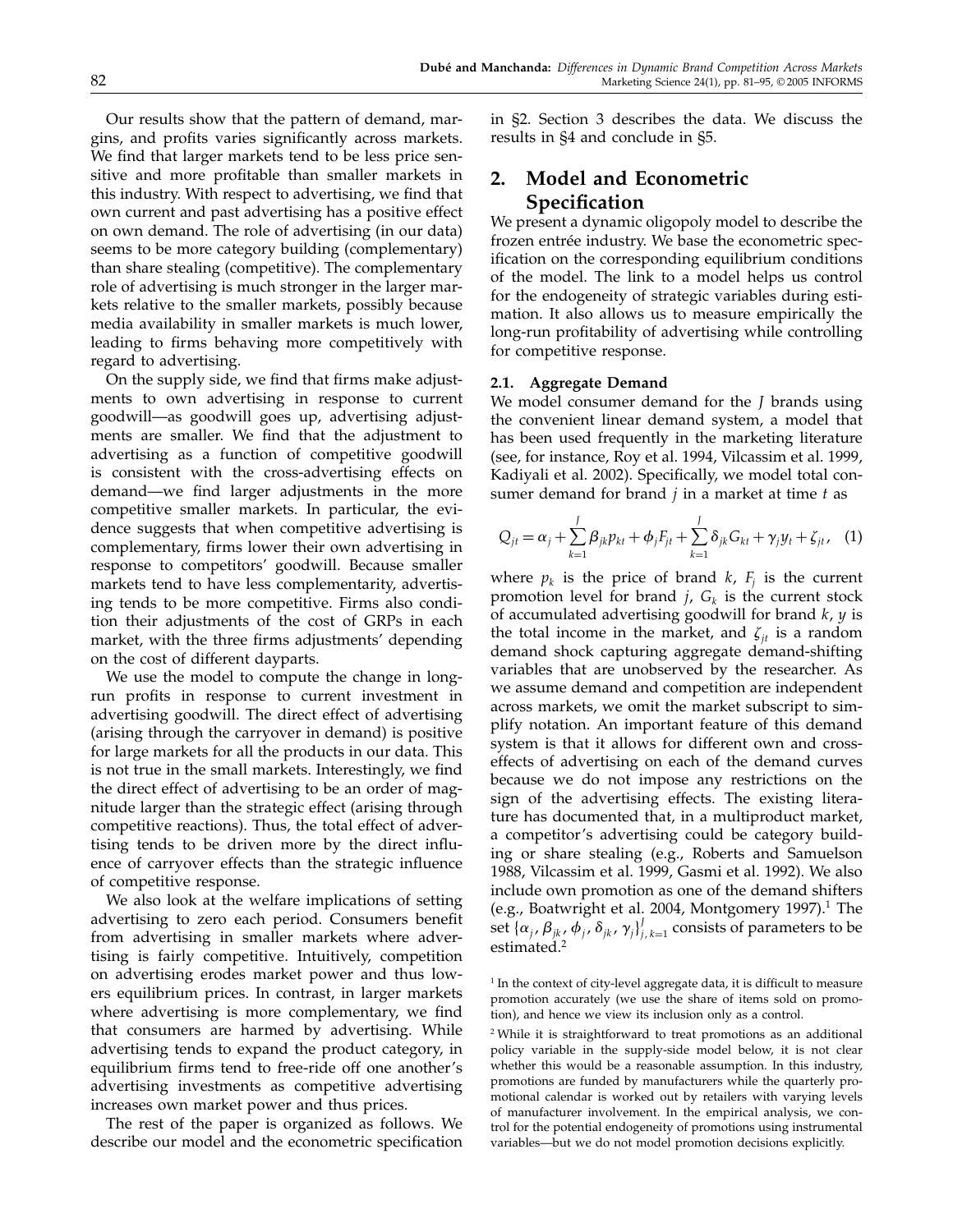Our results show that the pattern of demand, margins, and profits varies significantly across markets. We find that larger markets tend to be less price sensitive and more profitable than smaller markets in this industry. With respect to advertising, we find that own current and past advertising has a positive effect on own demand. The role of advertising (in our data) seems to be more category building (complementary) than share stealing (competitive). The complementary role of advertising is much stronger in the larger markets relative to the smaller markets, possibly because media availability in smaller markets is much lower, leading to firms behaving more competitively with regard to advertising.

On the supply side, we find that firms make adjustments to own advertising in response to current goodwill—as goodwill goes up, advertising adjustments are smaller. We find that the adjustment to advertising as a function of competitive goodwill is consistent with the cross-advertising effects on demand—we find larger adjustments in the more competitive smaller markets. In particular, the evidence suggests that when competitive advertising is complementary, firms lower their own advertising in response to competitors' goodwill. Because smaller markets tend to have less complementarity, advertising tends to be more competitive. Firms also condition their adjustments of the cost of GRPs in each market, with the three firms adjustments' depending on the cost of different dayparts.

We use the model to compute the change in longrun profits in response to current investment in advertising goodwill. The direct effect of advertising (arising through the carryover in demand) is positive for large markets for all the products in our data. This is not true in the small markets. Interestingly, we find the direct effect of advertising to be an order of magnitude larger than the strategic effect (arising through competitive reactions). Thus, the total effect of advertising tends to be driven more by the direct influence of carryover effects than the strategic influence of competitive response.

We also look at the welfare implications of setting advertising to zero each period. Consumers benefit from advertising in smaller markets where advertising is fairly competitive. Intuitively, competition on advertising erodes market power and thus lowers equilibrium prices. In contrast, in larger markets where advertising is more complementary, we find that consumers are harmed by advertising. While advertising tends to expand the product category, in equilibrium firms tend to free-ride off one another's advertising investments as competitive advertising increases own market power and thus prices.

The rest of the paper is organized as follows. We describe our model and the econometric specification in §2. Section 3 describes the data. We discuss the results in §4 and conclude in §5.

# 2. Model and Econometric Specification

We present a dynamic oligopoly model to describe the frozen entrée industry. We base the econometric specification on the corresponding equilibrium conditions of the model. The link to a model helps us control for the endogeneity of strategic variables during estimation. It also allows us to measure empirically the long-run profitability of advertising while controlling for competitive response.

#### 2.1. Aggregate Demand

We model consumer demand for the *J* brands using the convenient linear demand system, a model that has been used frequently in the marketing literature (see, for instance, Roy et al. 1994, Vilcassim et al. 1999, Kadiyali et al. 2002). Specifically, we model total consumer demand for brand  $j$  in a market at time  $t$  as

$$
Q_{jt} = \alpha_j + \sum_{k=1}^{J} \beta_{jk} p_{kt} + \phi_j F_{jt} + \sum_{k=1}^{J} \delta_{jk} G_{kt} + \gamma_j y_t + \zeta_{jt}, \quad (1)
$$

where  $p_k$  is the price of brand k,  $F_i$  is the current promotion level for brand *j*,  $G_k$  is the current stock of accumulated advertising goodwill for brand  $k$ ,  $y$  is the total income in the market, and  $\zeta_{it}$  is a random demand shock capturing aggregate demand-shifting variables that are unobserved by the researcher. As we assume demand and competition are independent across markets, we omit the market subscript to simplify notation. An important feature of this demand system is that it allows for different own and crosseffects of advertising on each of the demand curves because we do not impose any restrictions on the sign of the advertising effects. The existing literature has documented that, in a multiproduct market, a competitor's advertising could be category building or share stealing (e.g., Roberts and Samuelson 1988, Vilcassim et al. 1999, Gasmi et al. 1992). We also include own promotion as one of the demand shifters (e.g., Boatwright et al. 2004, Montgomery 1997).<sup>1</sup> The set  $\{\alpha_j, \beta_{jk}, \phi_j, \delta_{jk}, \gamma_j\}_{j,k=1}^J$  consists of parameters to be estimated.<sup>2</sup>

 $1$  In the context of city-level aggregate data, it is difficult to measure promotion accurately (we use the share of items sold on promotion), and hence we view its inclusion only as a control.

<sup>2</sup> While it is straightforward to treat promotions as an additional policy variable in the supply-side model below, it is not clear whether this would be a reasonable assumption. In this industry, promotions are funded by manufacturers while the quarterly promotional calendar is worked out by retailers with varying levels of manufacturer involvement. In the empirical analysis, we control for the potential endogeneity of promotions using instrumental variables—but we do not model promotion decisions explicitly.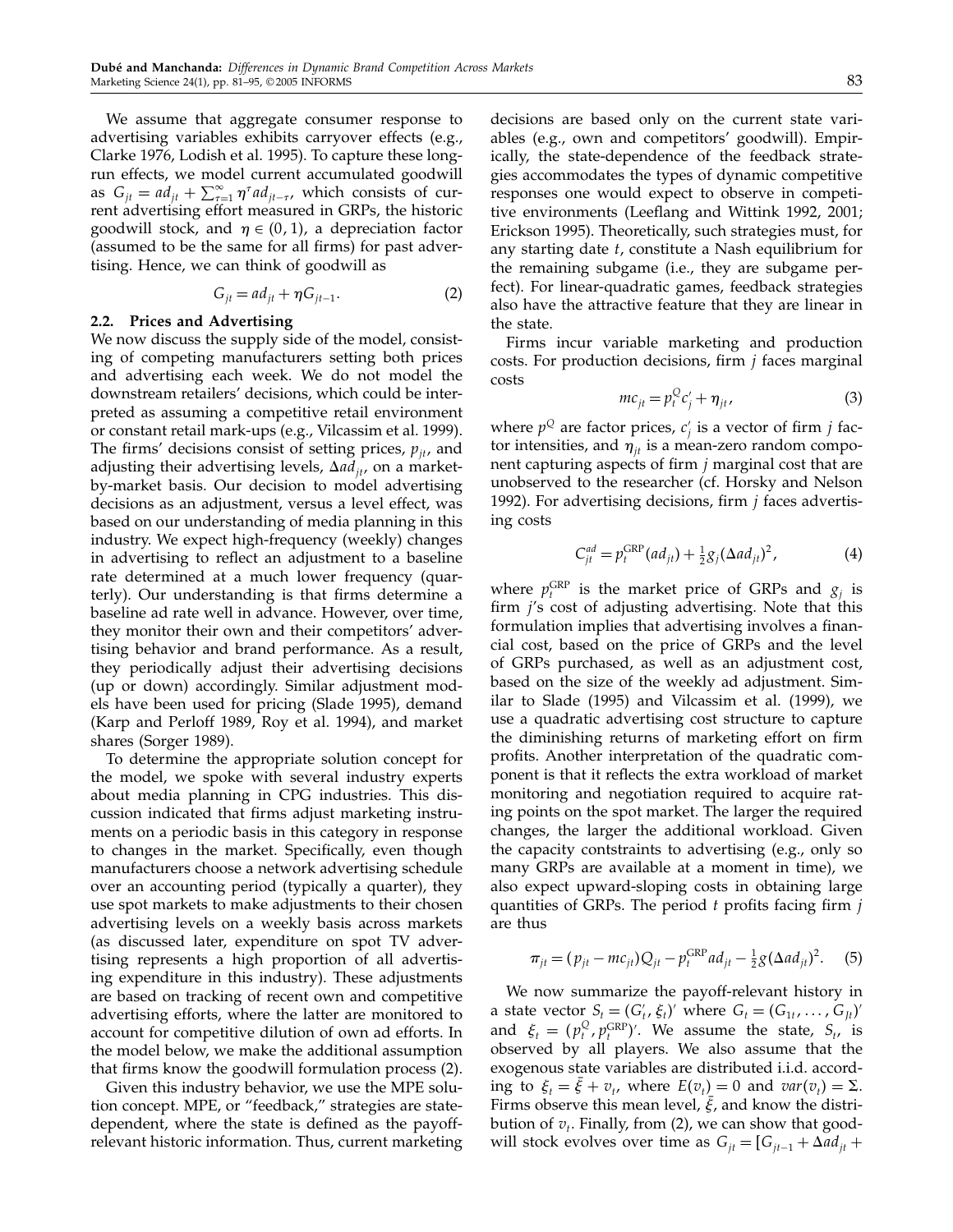We assume that aggregate consumer response to advertising variables exhibits carryover effects (e.g., Clarke 1976, Lodish et al. 1995). To capture these longrun effects, we model current accumulated goodwill as  $G_{jt} = ad_{jt} + \sum_{\tau=1}^{\infty} \eta^{\tau} ad_{jt-\tau}$ , which consists of current advertising effort measured in GRPs, the historic goodwill stock, and  $\eta \in (0, 1)$ , a depreciation factor (assumed to be the same for all firms) for past advertising. Hence, we can think of goodwill as

$$
G_{jt} = ad_{jt} + \eta G_{jt-1}.
$$
 (2)

#### 2.2. Prices and Advertising

We now discuss the supply side of the model, consisting of competing manufacturers setting both prices and advertising each week. We do not model the downstream retailers' decisions, which could be interpreted as assuming a competitive retail environment or constant retail mark-ups (e.g., Vilcassim et al. 1999). The firms' decisions consist of setting prices,  $p_{it}$ , and adjusting their advertising levels,  $\Delta ad_{it}$ , on a marketby-market basis. Our decision to model advertising decisions as an adjustment, versus a level effect, was based on our understanding of media planning in this industry. We expect high-frequency (weekly) changes in advertising to reflect an adjustment to a baseline rate determined at a much lower frequency (quarterly). Our understanding is that firms determine a baseline ad rate well in advance. However, over time, they monitor their own and their competitors' advertising behavior and brand performance. As a result, they periodically adjust their advertising decisions (up or down) accordingly. Similar adjustment models have been used for pricing (Slade 1995), demand (Karp and Perloff 1989, Roy et al. 1994), and market shares (Sorger 1989).

To determine the appropriate solution concept for the model, we spoke with several industry experts about media planning in CPG industries. This discussion indicated that firms adjust marketing instruments on a periodic basis in this category in response to changes in the market. Specifically, even though manufacturers choose a network advertising schedule over an accounting period (typically a quarter), they use spot markets to make adjustments to their chosen advertising levels on a weekly basis across markets (as discussed later, expenditure on spot TV advertising represents a high proportion of all advertising expenditure in this industry). These adjustments are based on tracking of recent own and competitive advertising efforts, where the latter are monitored to account for competitive dilution of own ad efforts. In the model below, we make the additional assumption that firms know the goodwill formulation process (2).

Given this industry behavior, we use the MPE solution concept. MPE, or "feedback," strategies are statedependent, where the state is defined as the payoffrelevant historic information. Thus, current marketing

decisions are based only on the current state variables (e.g., own and competitors' goodwill). Empirically, the state-dependence of the feedback strategies accommodates the types of dynamic competitive responses one would expect to observe in competitive environments (Leeflang and Wittink 1992, 2001; Erickson 1995). Theoretically, such strategies must, for any starting date t, constitute a Nash equilibrium for the remaining subgame (i.e., they are subgame perfect). For linear-quadratic games, feedback strategies also have the attractive feature that they are linear in the state.

Firms incur variable marketing and production costs. For production decisions, firm  *faces marginal* costs

$$
mc_{jt} = p_t^Q c'_j + \eta_{jt}, \qquad (3)
$$

where  $p^Q$  are factor prices,  $c'_j$  is a vector of firm j factor intensities, and  $\eta_{it}$  is a mean-zero random component capturing aspects of firm  $j$  marginal cost that are unobserved to the researcher (cf. Horsky and Nelson 1992). For advertising decisions, firm  $j$  faces advertising costs

$$
C_{jt}^{ad} = p_t^{\text{GRP}}(ad_{jt}) + \frac{1}{2}g_j(\Delta ad_{jt})^2,
$$
 (4)

where  $p_t^{\text{GRP}}$  is the market price of GRPs and  $g_j$  is firm j's cost of adjusting advertising. Note that this formulation implies that advertising involves a financial cost, based on the price of GRPs and the level of GRPs purchased, as well as an adjustment cost, based on the size of the weekly ad adjustment. Similar to Slade (1995) and Vilcassim et al. (1999), we use a quadratic advertising cost structure to capture the diminishing returns of marketing effort on firm profits. Another interpretation of the quadratic component is that it reflects the extra workload of market monitoring and negotiation required to acquire rating points on the spot market. The larger the required changes, the larger the additional workload. Given the capacity contstraints to advertising (e.g., only so many GRPs are available at a moment in time), we also expect upward-sloping costs in obtaining large quantities of GRPs. The period  $t$  profits facing firm  $j$ are thus

$$
\pi_{jt} = (p_{jt} - mc_{jt})Q_{jt} - p_t^{\text{GRP}} ad_{jt} - \frac{1}{2}g(\Delta ad_{jt})^2. \tag{5}
$$

We now summarize the payoff-relevant history in a state vector  $S_t = (G'_t, \xi_t)'$  where  $G_t = (G_{1t}, \ldots, G_{jt})'$ and  $\xi_t = (p_t^Q, p_t^{GRP})'$ . We assume the state,  $S_t$ , is observed by all players. We also assume that the exogenous state variables are distributed i.i.d. according to  $\xi_t = \xi + v_t$ , where  $E(v_t) = 0$  and  $var(v_t) = \Sigma$ . Firms observe this mean level,  $\bar{\xi}$ , and know the distribution of  $v_t$ . Finally, from (2), we can show that goodwill stock evolves over time as  $G_{it} = [G_{it-1} + \Delta ad_{it} +$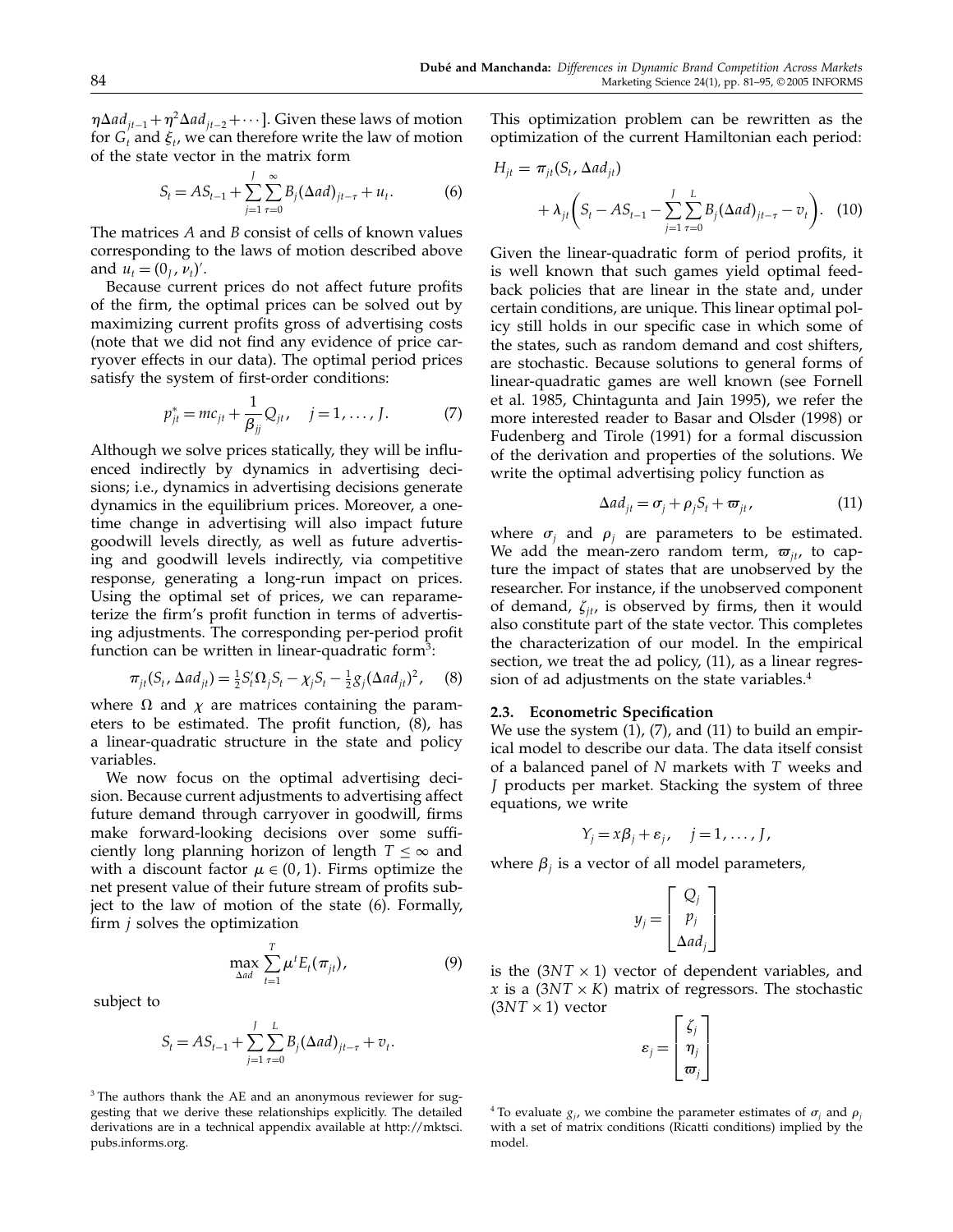$\eta \Delta ad_{it-1} + \eta^2 \Delta ad_{it-2} + \cdots$ . Given these laws of motion for  $G_t$  and  $\xi_t$ , we can therefore write the law of motion of the state vector in the matrix form

$$
S_t = AS_{t-1} + \sum_{j=1}^{J} \sum_{\tau=0}^{\infty} B_j (\Delta ad)_{jt-\tau} + u_t.
$$
 (6)

The matrices A and B consist of cells of known values corresponding to the laws of motion described above and  $u_t = (0_J, v_t)'$ .

Because current prices do not affect future profits of the firm, the optimal prices can be solved out by maximizing current profits gross of advertising costs (note that we did not find any evidence of price carryover effects in our data). The optimal period prices satisfy the system of first-order conditions:

$$
p_{jt}^* = mc_{jt} + \frac{1}{\beta_{jj}} Q_{jt}, \quad j = 1, ..., J.
$$
 (7)

Although we solve prices statically, they will be influenced indirectly by dynamics in advertising decisions; i.e., dynamics in advertising decisions generate dynamics in the equilibrium prices. Moreover, a onetime change in advertising will also impact future goodwill levels directly, as well as future advertising and goodwill levels indirectly, via competitive response, generating a long-run impact on prices. Using the optimal set of prices, we can reparameterize the firm's profit function in terms of advertising adjustments. The corresponding per-period profit function can be written in linear-quadratic form<sup>3</sup>:

$$
\pi_{jt}(S_t, \Delta ad_{jt}) = \frac{1}{2} S_t' \Omega_j S_t - \chi_j S_t - \frac{1}{2} g_j (\Delta ad_{jt})^2, \quad (8)
$$

where  $\Omega$  and  $\chi$  are matrices containing the parameters to be estimated. The profit function, (8), has a linear-quadratic structure in the state and policy variables.

We now focus on the optimal advertising decision. Because current adjustments to advertising affect future demand through carryover in goodwill, firms make forward-looking decisions over some sufficiently long planning horizon of length  $T \leq \infty$  and with a discount factor  $\mu \in (0, 1)$ . Firms optimize the net present value of their future stream of profits subject to the law of motion of the state (6). Formally, firm  $j$  solves the optimization

$$
\max_{\Delta ad} \sum_{t=1}^{T} \mu^t E_t(\pi_{jt}), \qquad (9)
$$

subject to

$$
S_t = AS_{t-1} + \sum_{j=1}^{J} \sum_{\tau=0}^{L} B_j (\Delta ad)_{jt-\tau} + v_t.
$$

<sup>3</sup> The authors thank the AE and an anonymous reviewer for suggesting that we derive these relationships explicitly. The detailed derivations are in a technical appendix available at http://mktsci. pubs.informs.org.

This optimization problem can be rewritten as the optimization of the current Hamiltonian each period:

$$
H_{jt} = \pi_{jt}(S_t, \Delta ad_{jt})
$$
  
+  $\lambda_{jt}\left(S_t - AS_{t-1} - \sum_{j=1}^{J} \sum_{\tau=0}^{L} B_j(\Delta ad)_{jt-\tau} - v_t\right)$ . (10)

Given the linear-quadratic form of period profits, it is well known that such games yield optimal feedback policies that are linear in the state and, under certain conditions, are unique. This linear optimal policy still holds in our specific case in which some of the states, such as random demand and cost shifters, are stochastic. Because solutions to general forms of linear-quadratic games are well known (see Fornell et al. 1985, Chintagunta and Jain 1995), we refer the more interested reader to Basar and Olsder (1998) or Fudenberg and Tirole (1991) for a formal discussion of the derivation and properties of the solutions. We write the optimal advertising policy function as

$$
\Delta ad_{jt} = \sigma_j + \rho_j S_t + \varpi_{jt}, \qquad (11)
$$

where  $\sigma_i$  and  $\rho_i$  are parameters to be estimated. We add the mean-zero random term,  $\varpi_{it}$ , to capture the impact of states that are unobserved by the researcher. For instance, if the unobserved component of demand,  $\zeta_{it}$ , is observed by firms, then it would also constitute part of the state vector. This completes the characterization of our model. In the empirical section, we treat the ad policy,  $(11)$ , as a linear regression of ad adjustments on the state variables.<sup>4</sup>

#### 2.3. Econometric Specification

We use the system  $(1)$ ,  $(7)$ , and  $(11)$  to build an empirical model to describe our data. The data itself consist of a balanced panel of N markets with T weeks and J products per market. Stacking the system of three equations, we write

$$
Y_j = x\beta_j + \varepsilon_j, \quad j = 1, \ldots, J,
$$

where  $\beta_i$  is a vector of all model parameters,

$$
y_j = \begin{bmatrix} Q_j \\ p_j \\ \Delta ad_j \end{bmatrix}
$$

is the  $(3NT \times 1)$  vector of dependent variables, and x is a  $(3NT \times K)$  matrix of regressors. The stochastic  $(3NT \times 1)$  vector

$$
\varepsilon_j = \begin{bmatrix} \zeta_j \\ \eta_j \\ \varpi_j \end{bmatrix}
$$

<sup>&</sup>lt;sup>4</sup> To evaluate  $g_i$ , we combine the parameter estimates of  $\sigma_i$  and  $\rho_i$ with a set of matrix conditions (Ricatti conditions) implied by the model.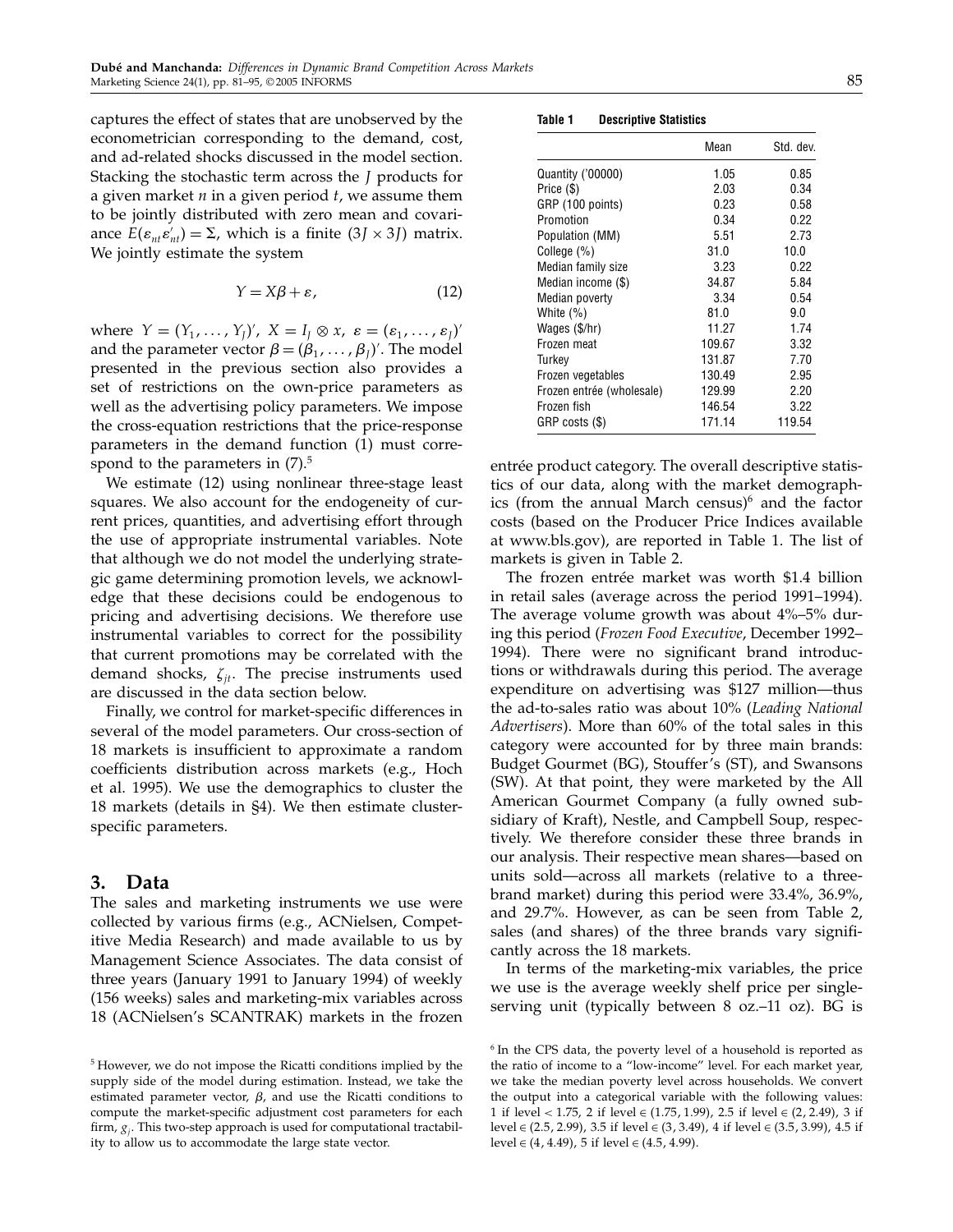captures the effect of states that are unobserved by the econometrician corresponding to the demand, cost, and ad-related shocks discussed in the model section. Stacking the stochastic term across the J products for a given market  $n$  in a given period  $t$ , we assume them to be jointly distributed with zero mean and covariance  $E(\varepsilon_{nt}\varepsilon'_{nt}) = \Sigma$ , which is a finite  $(3J \times 3J)$  matrix. We jointly estimate the system

$$
Y = X\beta + \varepsilon,\tag{12}
$$

where  $Y = (Y_1, \ldots, Y_J)'$ ,  $X = I_J \otimes x$ ,  $\varepsilon = (\varepsilon_1, \ldots, \varepsilon_J)'$ and the parameter vector  $\beta = (\beta_1, \ldots, \beta_J)'$ . The model presented in the previous section also provides a set of restrictions on the own-price parameters as well as the advertising policy parameters. We impose the cross-equation restrictions that the price-response parameters in the demand function (1) must correspond to the parameters in  $(7)$ .<sup>5</sup>

We estimate (12) using nonlinear three-stage least squares. We also account for the endogeneity of current prices, quantities, and advertising effort through the use of appropriate instrumental variables. Note that although we do not model the underlying strategic game determining promotion levels, we acknowledge that these decisions could be endogenous to pricing and advertising decisions. We therefore use instrumental variables to correct for the possibility that current promotions may be correlated with the demand shocks,  $\zeta_{it}$ . The precise instruments used are discussed in the data section below.

Finally, we control for market-specific differences in several of the model parameters. Our cross-section of 18 markets is insufficient to approximate a random coefficients distribution across markets (e.g., Hoch et al. 1995). We use the demographics to cluster the 18 markets (details in §4). We then estimate clusterspecific parameters.

## 3. Data

The sales and marketing instruments we use were collected by various firms (e.g., ACNielsen, Competitive Media Research) and made available to us by Management Science Associates. The data consist of three years (January 1991 to January 1994) of weekly (156 weeks) sales and marketing-mix variables across 18 (ACNielsen's SCANTRAK) markets in the frozen

Table 1 Descriptive Statistics

|                           | Mean   | Std. dev. |
|---------------------------|--------|-----------|
| Quantity ('00000)         | 1.05   | 0.85      |
| Price (\$)                | 2.03   | 0.34      |
| GRP (100 points)          | 0.23   | 0.58      |
| Promotion                 | 0.34   | 0.22      |
| Population (MM)           | 5.51   | 2.73      |
| College (%)               | 31.0   | 10.0      |
| Median family size        | 3.23   | 0.22      |
| Median income (\$)        | 34.87  | 5.84      |
| Median poverty            | 3.34   | 0.54      |
| White (%)                 | 81.0   | 9.0       |
| Wages (\$/hr)             | 11.27  | 1.74      |
| Frozen meat               | 109.67 | 3.32      |
| Turkey                    | 131.87 | 7.70      |
| Frozen vegetables         | 130.49 | 2.95      |
| Frozen entrée (wholesale) | 129.99 | 2.20      |
| Frozen fish               | 146.54 | 3.22      |
| GRP costs (\$)            | 171.14 | 119.54    |

entrée product category. The overall descriptive statistics of our data, along with the market demographics (from the annual March census) $6$  and the factor costs (based on the Producer Price Indices available at www.bls.gov), are reported in Table 1. The list of markets is given in Table 2.

The frozen entrée market was worth \$1.4 billion in retail sales (average across the period 1991–1994). The average volume growth was about 4%–5% during this period (Frozen Food Executive, December 1992– 1994). There were no significant brand introductions or withdrawals during this period. The average expenditure on advertising was \$127 million—thus the ad-to-sales ratio was about 10% (Leading National Advertisers). More than 60% of the total sales in this category were accounted for by three main brands: Budget Gourmet (BG), Stouffer's (ST), and Swansons (SW). At that point, they were marketed by the All American Gourmet Company (a fully owned subsidiary of Kraft), Nestle, and Campbell Soup, respectively. We therefore consider these three brands in our analysis. Their respective mean shares—based on units sold—across all markets (relative to a threebrand market) during this period were 33.4%, 36.9%, and 29.7%. However, as can be seen from Table 2, sales (and shares) of the three brands vary significantly across the 18 markets.

In terms of the marketing-mix variables, the price we use is the average weekly shelf price per singleserving unit (typically between 8 oz.–11 oz). BG is

<sup>5</sup> However, we do not impose the Ricatti conditions implied by the supply side of the model during estimation. Instead, we take the estimated parameter vector,  $\beta$ , and use the Ricatti conditions to compute the market-specific adjustment cost parameters for each firm,  $g_i$ . This two-step approach is used for computational tractability to allow us to accommodate the large state vector.

<sup>6</sup> In the CPS data, the poverty level of a household is reported as the ratio of income to a "low-income" level. For each market year, we take the median poverty level across households. We convert the output into a categorical variable with the following values: 1 if level < 1.75, 2 if level ∈ (1.75, 1.99), 2.5 if level ∈ (2, 2.49), 3 if level ∈ (2.5, 2.99), 3.5 if level ∈ (3, 3.49), 4 if level ∈ (3.5, 3.99), 4.5 if level ∈  $(4, 4.49)$ , 5 if level ∈  $(4.5, 4.99)$ .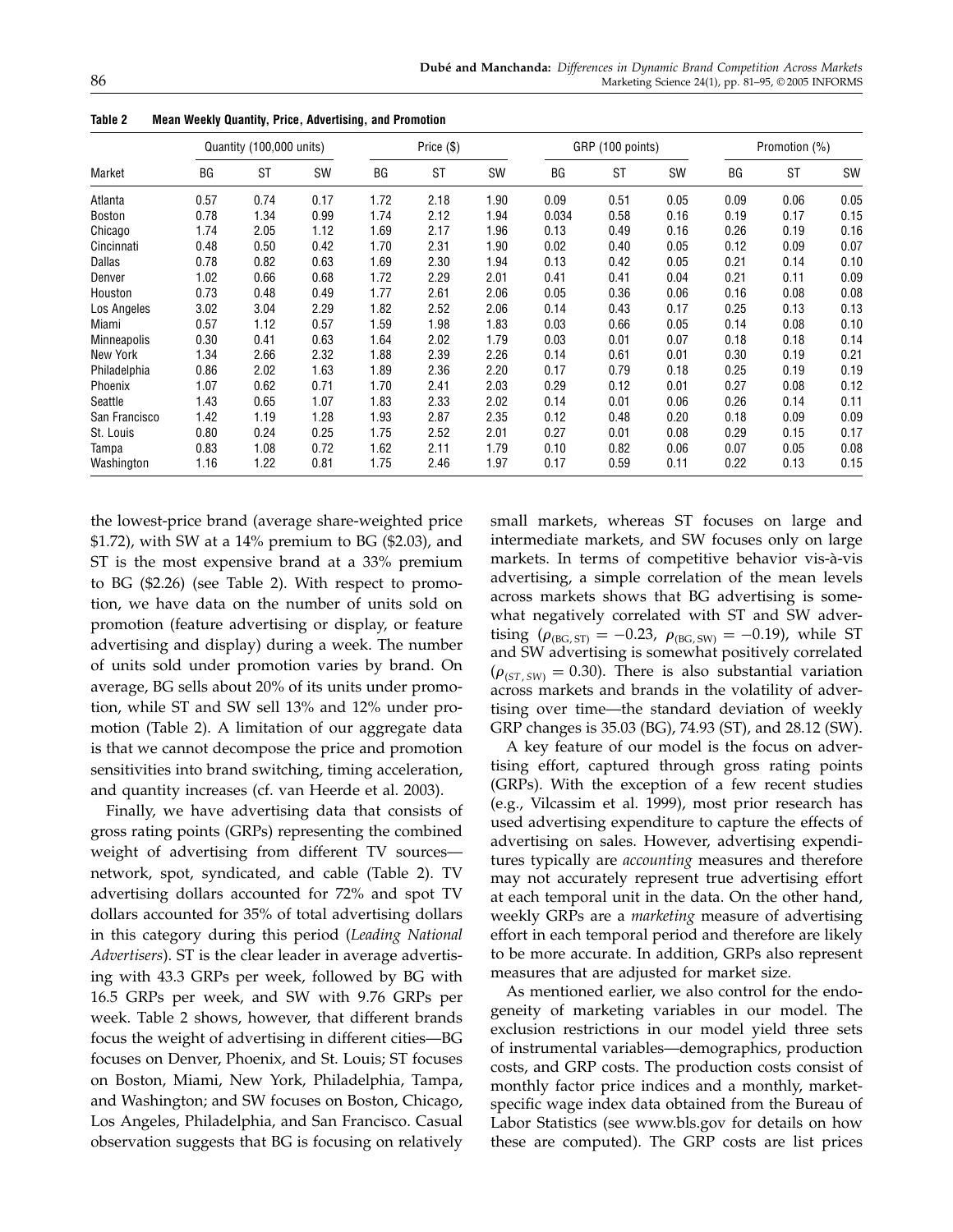| Market        | Quantity (100,000 units) |           |      |      | Price (\$) |      |       | GRP (100 points) |      |      | Promotion (%) |      |  |
|---------------|--------------------------|-----------|------|------|------------|------|-------|------------------|------|------|---------------|------|--|
|               | BG                       | <b>ST</b> | SW   | ВG   | <b>ST</b>  | SW   | ВG    | <b>ST</b>        | SW   | BG   | ST            | SW   |  |
| Atlanta       | 0.57                     | 0.74      | 0.17 | 1.72 | 2.18       | 1.90 | 0.09  | 0.51             | 0.05 | 0.09 | 0.06          | 0.05 |  |
| Boston        | 0.78                     | 1.34      | 0.99 | 1.74 | 2.12       | 1.94 | 0.034 | 0.58             | 0.16 | 0.19 | 0.17          | 0.15 |  |
| Chicago       | 1.74                     | 2.05      | 1.12 | 1.69 | 2.17       | 1.96 | 0.13  | 0.49             | 0.16 | 0.26 | 0.19          | 0.16 |  |
| Cincinnati    | 0.48                     | 0.50      | 0.42 | 1.70 | 2.31       | 1.90 | 0.02  | 0.40             | 0.05 | 0.12 | 0.09          | 0.07 |  |
| Dallas        | 0.78                     | 0.82      | 0.63 | 1.69 | 2.30       | 1.94 | 0.13  | 0.42             | 0.05 | 0.21 | 0.14          | 0.10 |  |
| Denver        | 1.02                     | 0.66      | 0.68 | 1.72 | 2.29       | 2.01 | 0.41  | 0.41             | 0.04 | 0.21 | 0.11          | 0.09 |  |
| Houston       | 0.73                     | 0.48      | 0.49 | 1.77 | 2.61       | 2.06 | 0.05  | 0.36             | 0.06 | 0.16 | 0.08          | 0.08 |  |
| Los Angeles   | 3.02                     | 3.04      | 2.29 | 1.82 | 2.52       | 2.06 | 0.14  | 0.43             | 0.17 | 0.25 | 0.13          | 0.13 |  |
| Miami         | 0.57                     | 1.12      | 0.57 | 1.59 | 1.98       | 1.83 | 0.03  | 0.66             | 0.05 | 0.14 | 0.08          | 0.10 |  |
| Minneapolis   | 0.30                     | 0.41      | 0.63 | 1.64 | 2.02       | 1.79 | 0.03  | 0.01             | 0.07 | 0.18 | 0.18          | 0.14 |  |
| New York      | 1.34                     | 2.66      | 2.32 | 1.88 | 2.39       | 2.26 | 0.14  | 0.61             | 0.01 | 0.30 | 0.19          | 0.21 |  |
| Philadelphia  | 0.86                     | 2.02      | 1.63 | 1.89 | 2.36       | 2.20 | 0.17  | 0.79             | 0.18 | 0.25 | 0.19          | 0.19 |  |
| Phoenix       | 1.07                     | 0.62      | 0.71 | 1.70 | 2.41       | 2.03 | 0.29  | 0.12             | 0.01 | 0.27 | 0.08          | 0.12 |  |
| Seattle       | 1.43                     | 0.65      | 1.07 | 1.83 | 2.33       | 2.02 | 0.14  | 0.01             | 0.06 | 0.26 | 0.14          | 0.11 |  |
| San Francisco | 1.42                     | 1.19      | 1.28 | 1.93 | 2.87       | 2.35 | 0.12  | 0.48             | 0.20 | 0.18 | 0.09          | 0.09 |  |
| St. Louis     | 0.80                     | 0.24      | 0.25 | 1.75 | 2.52       | 2.01 | 0.27  | 0.01             | 0.08 | 0.29 | 0.15          | 0.17 |  |
| Tampa         | 0.83                     | 1.08      | 0.72 | 1.62 | 2.11       | 1.79 | 0.10  | 0.82             | 0.06 | 0.07 | 0.05          | 0.08 |  |
| Washington    | 1.16                     | 1.22      | 0.81 | 1.75 | 2.46       | 1.97 | 0.17  | 0.59             | 0.11 | 0.22 | 0.13          | 0.15 |  |

| Table 2 | <b>Mean Weekly Quantity, Price, Advertising, and Promotion</b> |
|---------|----------------------------------------------------------------|
|---------|----------------------------------------------------------------|

the lowest-price brand (average share-weighted price \$1.72), with SW at a 14% premium to BG (\$2.03), and ST is the most expensive brand at a 33% premium to BG (\$2.26) (see Table 2). With respect to promotion, we have data on the number of units sold on promotion (feature advertising or display, or feature advertising and display) during a week. The number of units sold under promotion varies by brand. On average, BG sells about 20% of its units under promotion, while ST and SW sell 13% and 12% under promotion (Table 2). A limitation of our aggregate data is that we cannot decompose the price and promotion sensitivities into brand switching, timing acceleration, and quantity increases (cf. van Heerde et al. 2003).

Finally, we have advertising data that consists of gross rating points (GRPs) representing the combined weight of advertising from different TV sources network, spot, syndicated, and cable (Table 2). TV advertising dollars accounted for 72% and spot TV dollars accounted for 35% of total advertising dollars in this category during this period (Leading National Advertisers). ST is the clear leader in average advertising with 43.3 GRPs per week, followed by BG with 16.5 GRPs per week, and SW with 9.76 GRPs per week. Table 2 shows, however, that different brands focus the weight of advertising in different cities—BG focuses on Denver, Phoenix, and St. Louis; ST focuses on Boston, Miami, New York, Philadelphia, Tampa, and Washington; and SW focuses on Boston, Chicago, Los Angeles, Philadelphia, and San Francisco. Casual observation suggests that BG is focusing on relatively

small markets, whereas ST focuses on large and intermediate markets, and SW focuses only on large markets. In terms of competitive behavior vis-à-vis advertising, a simple correlation of the mean levels across markets shows that BG advertising is somewhat negatively correlated with ST and SW advertising ( $\rho_{(BG, ST)} = -0.23$ ,  $\rho_{(BG, SW)} = -0.19$ ), while ST and SW advertising is somewhat positively correlated  $(\rho_{(ST,SW)} = 0.30)$ . There is also substantial variation across markets and brands in the volatility of advertising over time—the standard deviation of weekly GRP changes is 35.03 (BG), 74.93 (ST), and 28.12 (SW).

A key feature of our model is the focus on advertising effort, captured through gross rating points (GRPs). With the exception of a few recent studies (e.g., Vilcassim et al. 1999), most prior research has used advertising expenditure to capture the effects of advertising on sales. However, advertising expenditures typically are accounting measures and therefore may not accurately represent true advertising effort at each temporal unit in the data. On the other hand, weekly GRPs are a marketing measure of advertising effort in each temporal period and therefore are likely to be more accurate. In addition, GRPs also represent measures that are adjusted for market size.

As mentioned earlier, we also control for the endogeneity of marketing variables in our model. The exclusion restrictions in our model yield three sets of instrumental variables—demographics, production costs, and GRP costs. The production costs consist of monthly factor price indices and a monthly, marketspecific wage index data obtained from the Bureau of Labor Statistics (see www.bls.gov for details on how these are computed). The GRP costs are list prices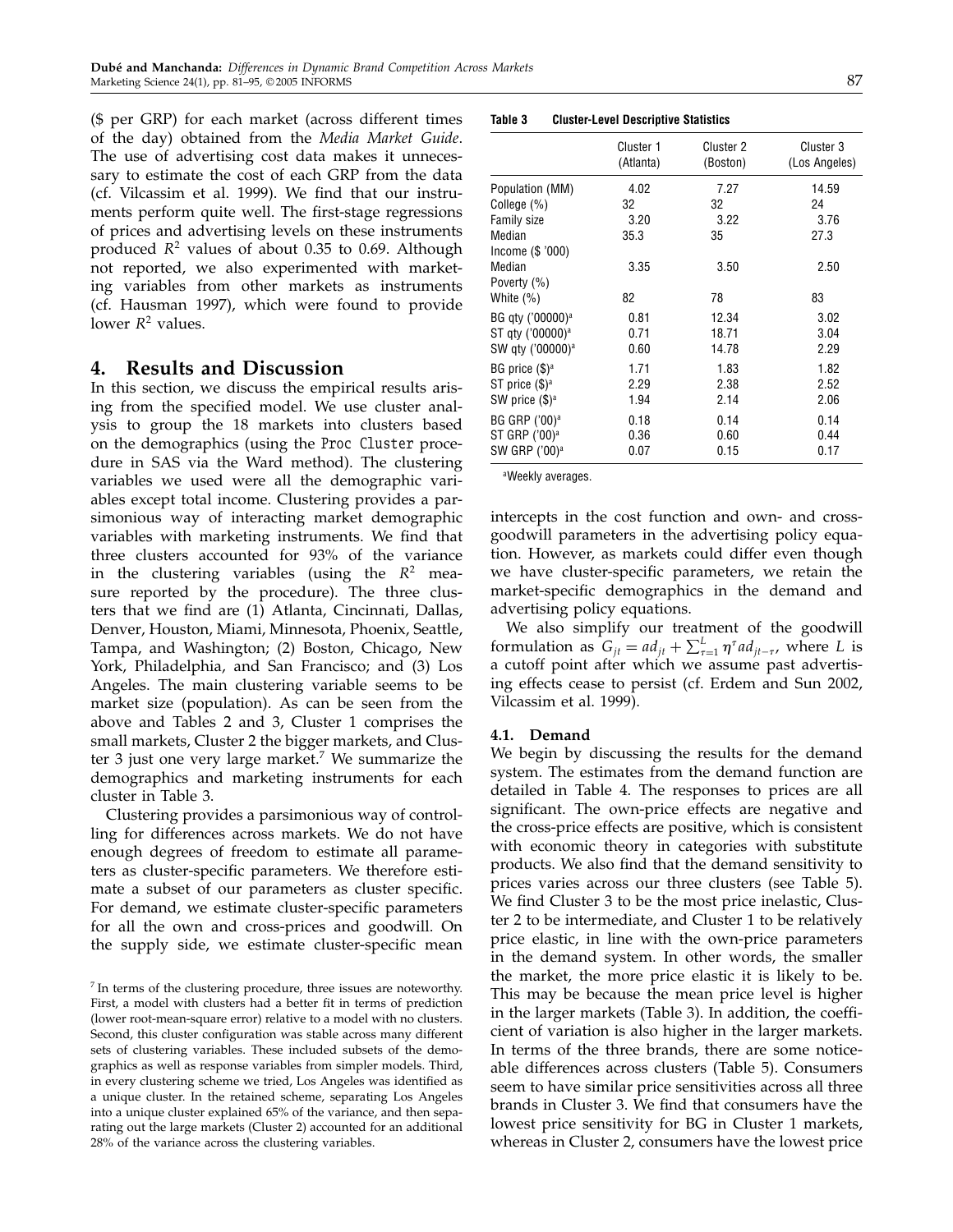(\$ per GRP) for each market (across different times of the day) obtained from the Media Market Guide. The use of advertising cost data makes it unnecessary to estimate the cost of each GRP from the data (cf. Vilcassim et al. 1999). We find that our instruments perform quite well. The first-stage regressions of prices and advertising levels on these instruments produced  $R^2$  values of about 0.35 to 0.69. Although not reported, we also experimented with marketing variables from other markets as instruments (cf. Hausman 1997), which were found to provide lower  $R^2$  values.

## 4. Results and Discussion

In this section, we discuss the empirical results arising from the specified model. We use cluster analysis to group the 18 markets into clusters based on the demographics (using the Proc Cluster procedure in SAS via the Ward method). The clustering variables we used were all the demographic variables except total income. Clustering provides a parsimonious way of interacting market demographic variables with marketing instruments. We find that three clusters accounted for 93% of the variance in the clustering variables (using the  $R^2$  measure reported by the procedure). The three clusters that we find are (1) Atlanta, Cincinnati, Dallas, Denver, Houston, Miami, Minnesota, Phoenix, Seattle, Tampa, and Washington; (2) Boston, Chicago, New York, Philadelphia, and San Francisco; and (3) Los Angeles. The main clustering variable seems to be market size (population). As can be seen from the above and Tables 2 and 3, Cluster 1 comprises the small markets, Cluster 2 the bigger markets, and Cluster 3 just one very large market.<sup>7</sup> We summarize the demographics and marketing instruments for each cluster in Table 3.

Clustering provides a parsimonious way of controlling for differences across markets. We do not have enough degrees of freedom to estimate all parameters as cluster-specific parameters. We therefore estimate a subset of our parameters as cluster specific. For demand, we estimate cluster-specific parameters for all the own and cross-prices and goodwill. On the supply side, we estimate cluster-specific mean

|                              | Cluster 1<br>(Atlanta) | Cluster 2<br>(Boston) | Cluster 3<br>(Los Angeles) |
|------------------------------|------------------------|-----------------------|----------------------------|
| Population (MM)              | 4.02                   | 7.27                  | 14.59                      |
| College (%)                  | 32                     | 32                    | 24                         |
| Family size                  | 3.20                   | 3.22                  | 3.76                       |
| Median                       | 35.3                   | 35                    | 27.3                       |
| Income (\$ '000)             |                        |                       |                            |
| Median                       | 3.35                   | 3.50                  | 2.50                       |
| Poverty (%)                  |                        |                       |                            |
| White (%)                    | 82                     | 78                    | 83                         |
| BG qty ('00000)ª             | 0.81                   | 12.34                 | 3.02                       |
| ST qty ('00000) <sup>a</sup> | 0.71                   | 18.71                 | 3.04                       |
| SW qty ('00000)ª             | 0.60                   | 14.78                 | 2.29                       |
| BG price (\$)ª               | 1.71                   | 1.83                  | 1.82                       |
| ST price $(\$)^a$            | 2.29                   | 2.38                  | 2.52                       |
| SW price $(\$)^a$            | 1.94                   | 2.14                  | 2.06                       |
| BG GRP ('00)ª                | 0.18                   | 0.14                  | 0.14                       |
| ST GRP ('00) <sup>a</sup>    | 0.36                   | 0.60                  | 0.44                       |
| SW GRP ('00)ª                | 0.07                   | 0.15                  | 0.17                       |
|                              |                        |                       |                            |

a Weekly averages.

intercepts in the cost function and own- and crossgoodwill parameters in the advertising policy equation. However, as markets could differ even though we have cluster-specific parameters, we retain the market-specific demographics in the demand and advertising policy equations.

We also simplify our treatment of the goodwill formulation as  $G_{jt} = ad_{jt} + \sum_{\tau=1}^{L} \eta^{\tau} ad_{jt-\tau}$ , where L is a cutoff point after which we assume past advertising effects cease to persist (cf. Erdem and Sun 2002, Vilcassim et al. 1999).

#### 4.1. Demand

We begin by discussing the results for the demand system. The estimates from the demand function are detailed in Table 4. The responses to prices are all significant. The own-price effects are negative and the cross-price effects are positive, which is consistent with economic theory in categories with substitute products. We also find that the demand sensitivity to prices varies across our three clusters (see Table 5). We find Cluster 3 to be the most price inelastic, Cluster 2 to be intermediate, and Cluster 1 to be relatively price elastic, in line with the own-price parameters in the demand system. In other words, the smaller the market, the more price elastic it is likely to be. This may be because the mean price level is higher in the larger markets (Table 3). In addition, the coefficient of variation is also higher in the larger markets. In terms of the three brands, there are some noticeable differences across clusters (Table 5). Consumers seem to have similar price sensitivities across all three brands in Cluster 3. We find that consumers have the lowest price sensitivity for BG in Cluster 1 markets, whereas in Cluster 2, consumers have the lowest price

<sup>&</sup>lt;sup>7</sup> In terms of the clustering procedure, three issues are noteworthy. First, a model with clusters had a better fit in terms of prediction (lower root-mean-square error) relative to a model with no clusters. Second, this cluster configuration was stable across many different sets of clustering variables. These included subsets of the demographics as well as response variables from simpler models. Third, in every clustering scheme we tried, Los Angeles was identified as a unique cluster. In the retained scheme, separating Los Angeles into a unique cluster explained 65% of the variance, and then separating out the large markets (Cluster 2) accounted for an additional 28% of the variance across the clustering variables.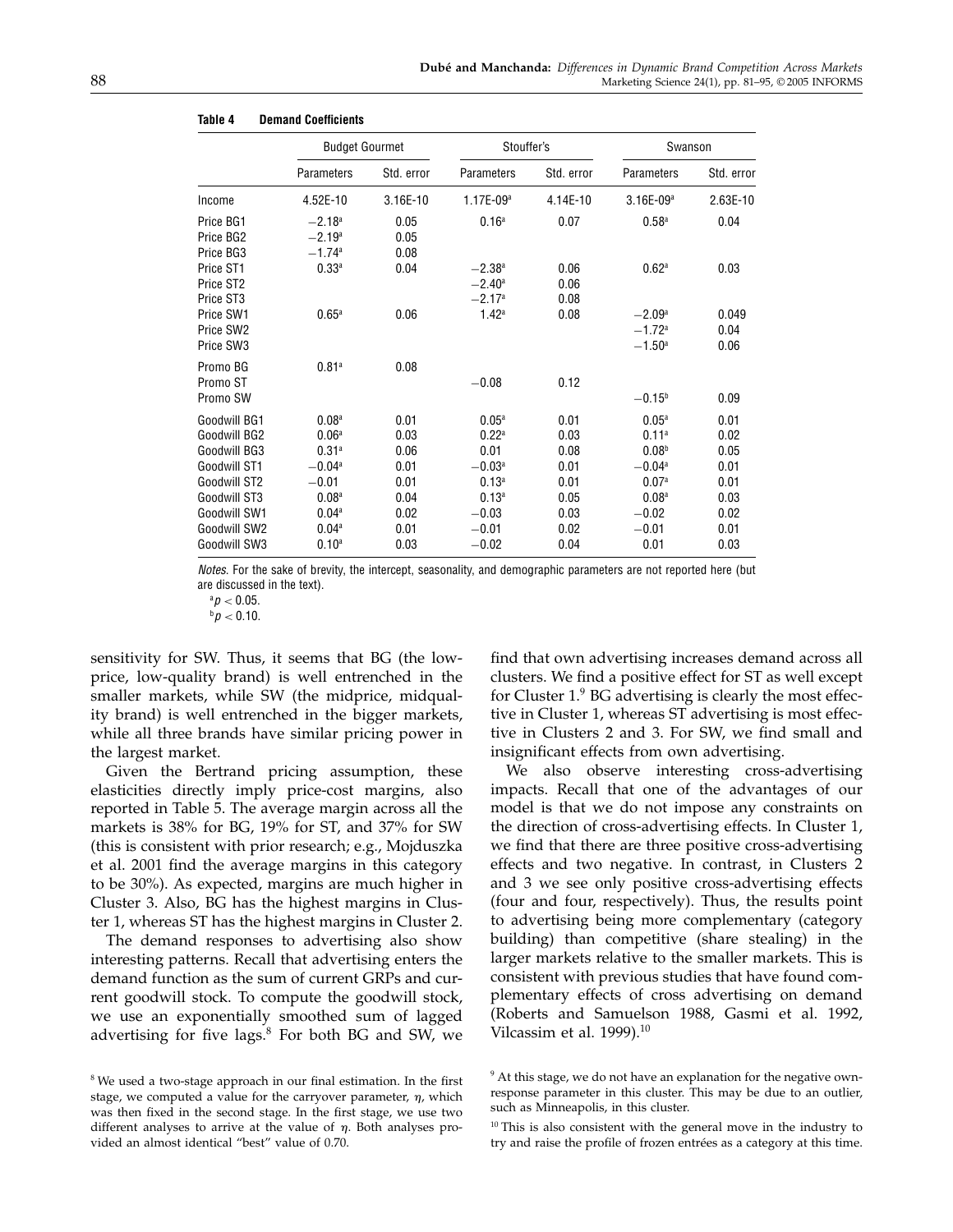|                                                                                                                              | <b>Budget Gourmet</b>                                                                                                                 |                                                              | Stouffer's                                                                                                                 |                                                              | Swanson                                                                                                                                 |                                                              |
|------------------------------------------------------------------------------------------------------------------------------|---------------------------------------------------------------------------------------------------------------------------------------|--------------------------------------------------------------|----------------------------------------------------------------------------------------------------------------------------|--------------------------------------------------------------|-----------------------------------------------------------------------------------------------------------------------------------------|--------------------------------------------------------------|
|                                                                                                                              | Parameters                                                                                                                            | Std. error                                                   | Parameters                                                                                                                 | Std. error                                                   | Parameters                                                                                                                              | Std. error                                                   |
| Income                                                                                                                       | 4.52E-10                                                                                                                              | 3.16E-10                                                     | 1.17E-09 <sup>a</sup>                                                                                                      | 4.14E-10                                                     | $3.16E - 09a$                                                                                                                           | 2.63E-10                                                     |
| Price BG1<br>Price BG2<br>Price BG3                                                                                          | $-2.18^{a}$<br>$-2.19^{a}$<br>$-1.74$ <sup>a</sup>                                                                                    | 0.05<br>0.05<br>0.08                                         | 0.16 <sup>a</sup>                                                                                                          | 0.07                                                         | 0.58 <sup>a</sup>                                                                                                                       | 0.04                                                         |
| Price ST1<br>Price ST <sub>2</sub><br>Price ST3                                                                              | $0.33^{a}$                                                                                                                            | 0.04                                                         | $-2.38^{a}$<br>$-2.40$ <sup>a</sup><br>$-2.17a$                                                                            | 0.06<br>0.06<br>0.08                                         | 0.62 <sup>a</sup>                                                                                                                       | 0.03                                                         |
| Price SW1<br>Price SW2<br>Price SW3                                                                                          | 0.65 <sup>a</sup>                                                                                                                     | 0.06                                                         | 1.42a                                                                                                                      | 0.08                                                         | $-2.09a$<br>$-1.72$ <sup>a</sup><br>$-1.50^{\circ}$                                                                                     | 0.049<br>0.04<br>0.06                                        |
| Promo BG<br>Promo ST<br>Promo SW                                                                                             | 0.81 <sup>a</sup>                                                                                                                     | 0.08                                                         | $-0.08$                                                                                                                    | 0.12                                                         | $-0.15^{\rm b}$                                                                                                                         | 0.09                                                         |
| Goodwill BG1<br>Goodwill BG2<br>Goodwill BG3<br>Goodwill ST1<br>Goodwill ST2<br>Goodwill ST3<br>Goodwill SW1<br>Goodwill SW2 | 0.08 <sup>a</sup><br>0.06 <sup>a</sup><br>0.31a<br>$-0.04a$<br>$-0.01$<br>0.08 <sup>a</sup><br>0.04 <sup>a</sup><br>0.04 <sup>a</sup> | 0.01<br>0.03<br>0.06<br>0.01<br>0.01<br>0.04<br>0.02<br>0.01 | 0.05 <sup>a</sup><br>0.22 <sup>a</sup><br>0.01<br>$-0.03a$<br>0.13 <sup>a</sup><br>0.13 <sup>a</sup><br>$-0.03$<br>$-0.01$ | 0.01<br>0.03<br>0.08<br>0.01<br>0.01<br>0.05<br>0.03<br>0.02 | 0.05 <sup>a</sup><br>0.11 <sup>a</sup><br>0.08 <sup>b</sup><br>$-0.04a$<br>0.07 <sup>a</sup><br>0.08 <sup>a</sup><br>$-0.02$<br>$-0.01$ | 0.01<br>0.02<br>0.05<br>0.01<br>0.01<br>0.03<br>0.02<br>0.01 |
| Goodwill SW3                                                                                                                 | $0.10^{a}$                                                                                                                            | 0.03                                                         | $-0.02$                                                                                                                    | 0.04                                                         | 0.01                                                                                                                                    | 0.03                                                         |

| Table 4 |  | <b>Demand Coefficients</b> |
|---------|--|----------------------------|
|---------|--|----------------------------|

Notes. For the sake of brevity, the intercept, seasonality, and demographic parameters are not reported here (but are discussed in the text).

 ${}^{\rm a} p < 0.05$ .

 $b$   $p$   $<$  0.10.

sensitivity for SW. Thus, it seems that BG (the lowprice, low-quality brand) is well entrenched in the smaller markets, while SW (the midprice, midquality brand) is well entrenched in the bigger markets, while all three brands have similar pricing power in the largest market.

Given the Bertrand pricing assumption, these elasticities directly imply price-cost margins, also reported in Table 5. The average margin across all the markets is 38% for BG, 19% for ST, and 37% for SW (this is consistent with prior research; e.g., Mojduszka et al. 2001 find the average margins in this category to be 30%). As expected, margins are much higher in Cluster 3. Also, BG has the highest margins in Cluster 1, whereas ST has the highest margins in Cluster 2.

The demand responses to advertising also show interesting patterns. Recall that advertising enters the demand function as the sum of current GRPs and current goodwill stock. To compute the goodwill stock, we use an exponentially smoothed sum of lagged advertising for five lags. $8$  For both BG and SW, we

<sup>8</sup> We used a two-stage approach in our final estimation. In the first stage, we computed a value for the carryover parameter,  $\eta$ , which was then fixed in the second stage. In the first stage, we use two different analyses to arrive at the value of  $\eta$ . Both analyses provided an almost identical "best" value of 0.70.

find that own advertising increases demand across all clusters. We find a positive effect for ST as well except for Cluster 1.<sup>9</sup> BG advertising is clearly the most effective in Cluster 1, whereas ST advertising is most effective in Clusters 2 and 3. For SW, we find small and insignificant effects from own advertising.

We also observe interesting cross-advertising impacts. Recall that one of the advantages of our model is that we do not impose any constraints on the direction of cross-advertising effects. In Cluster 1, we find that there are three positive cross-advertising effects and two negative. In contrast, in Clusters 2 and 3 we see only positive cross-advertising effects (four and four, respectively). Thus, the results point to advertising being more complementary (category building) than competitive (share stealing) in the larger markets relative to the smaller markets. This is consistent with previous studies that have found complementary effects of cross advertising on demand (Roberts and Samuelson 1988, Gasmi et al. 1992, Vilcassim et al.  $1999$ ).<sup>10</sup>

<sup>&</sup>lt;sup>9</sup> At this stage, we do not have an explanation for the negative ownresponse parameter in this cluster. This may be due to an outlier, such as Minneapolis, in this cluster.

 $10$  This is also consistent with the general move in the industry to try and raise the profile of frozen entrées as a category at this time.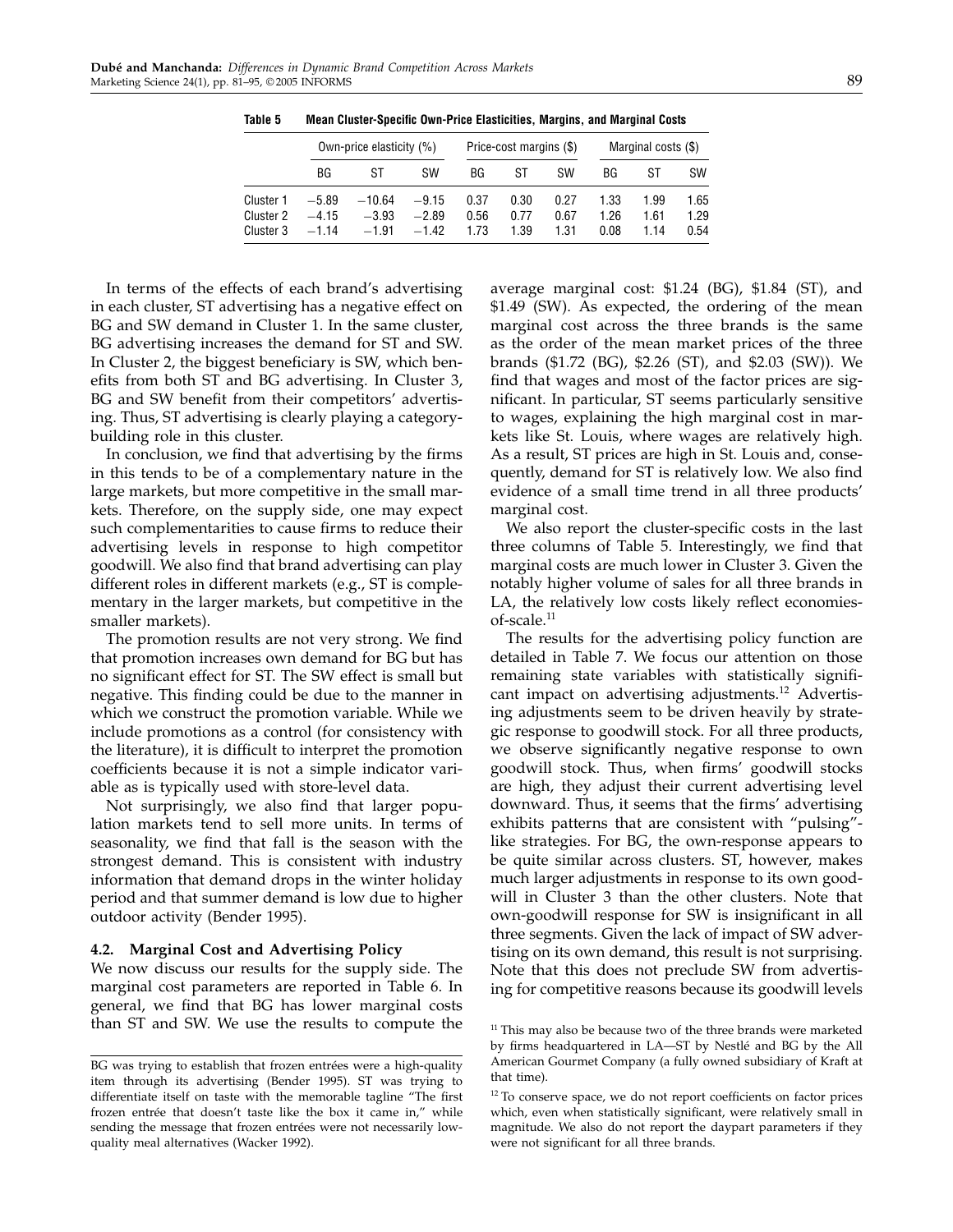|                        | Own-price elasticity (%) |                     |                    |              | Price-cost margins (\$) |              |              | Marginal costs (\$) |              |  |
|------------------------|--------------------------|---------------------|--------------------|--------------|-------------------------|--------------|--------------|---------------------|--------------|--|
|                        | BG                       | ST                  | SW                 | ВG           | SТ                      | SW           | BG           | ST                  | SW           |  |
| Cluster 1<br>Cluster 2 | $-5.89$<br>$-4.15$       | $-10.64$<br>$-3.93$ | $-9.15$<br>$-2.89$ | 0.37<br>0.56 | 0.30<br>0.77            | 0.27<br>0.67 | 1.33<br>1.26 | 1.99<br>1.61        | 1.65<br>1.29 |  |
| Cluster 3              | $-1.14$                  | $-1.91$             | $-1.42$            | 1.73         | 1.39                    | 1.31         | 0.08         | 1.14                | 0.54         |  |

Table 5 Mean Cluster-Specific Own-Price Elasticities, Margins, and Marginal Costs

In terms of the effects of each brand's advertising in each cluster, ST advertising has a negative effect on BG and SW demand in Cluster 1. In the same cluster, BG advertising increases the demand for ST and SW. In Cluster 2, the biggest beneficiary is SW, which benefits from both ST and BG advertising. In Cluster 3, BG and SW benefit from their competitors' advertising. Thus, ST advertising is clearly playing a categorybuilding role in this cluster.

In conclusion, we find that advertising by the firms in this tends to be of a complementary nature in the large markets, but more competitive in the small markets. Therefore, on the supply side, one may expect such complementarities to cause firms to reduce their advertising levels in response to high competitor goodwill. We also find that brand advertising can play different roles in different markets (e.g., ST is complementary in the larger markets, but competitive in the smaller markets).

The promotion results are not very strong. We find that promotion increases own demand for BG but has no significant effect for ST. The SW effect is small but negative. This finding could be due to the manner in which we construct the promotion variable. While we include promotions as a control (for consistency with the literature), it is difficult to interpret the promotion coefficients because it is not a simple indicator variable as is typically used with store-level data.

Not surprisingly, we also find that larger population markets tend to sell more units. In terms of seasonality, we find that fall is the season with the strongest demand. This is consistent with industry information that demand drops in the winter holiday period and that summer demand is low due to higher outdoor activity (Bender 1995).

#### 4.2. Marginal Cost and Advertising Policy

We now discuss our results for the supply side. The marginal cost parameters are reported in Table 6. In general, we find that BG has lower marginal costs than ST and SW. We use the results to compute the

average marginal cost: \$1.24 (BG), \$1.84 (ST), and \$1.49 (SW). As expected, the ordering of the mean marginal cost across the three brands is the same as the order of the mean market prices of the three brands (\$1.72 (BG), \$2.26 (ST), and \$2.03 (SW)). We find that wages and most of the factor prices are significant. In particular, ST seems particularly sensitive to wages, explaining the high marginal cost in markets like St. Louis, where wages are relatively high. As a result, ST prices are high in St. Louis and, consequently, demand for ST is relatively low. We also find evidence of a small time trend in all three products' marginal cost.

We also report the cluster-specific costs in the last three columns of Table 5. Interestingly, we find that marginal costs are much lower in Cluster 3. Given the notably higher volume of sales for all three brands in LA, the relatively low costs likely reflect economiesof-scale.<sup>11</sup>

The results for the advertising policy function are detailed in Table 7. We focus our attention on those remaining state variables with statistically significant impact on advertising adjustments.<sup>12</sup> Advertising adjustments seem to be driven heavily by strategic response to goodwill stock. For all three products, we observe significantly negative response to own goodwill stock. Thus, when firms' goodwill stocks are high, they adjust their current advertising level downward. Thus, it seems that the firms' advertising exhibits patterns that are consistent with "pulsing" like strategies. For BG, the own-response appears to be quite similar across clusters. ST, however, makes much larger adjustments in response to its own goodwill in Cluster 3 than the other clusters. Note that own-goodwill response for SW is insignificant in all three segments. Given the lack of impact of SW advertising on its own demand, this result is not surprising. Note that this does not preclude SW from advertising for competitive reasons because its goodwill levels

BG was trying to establish that frozen entrées were a high-quality item through its advertising (Bender 1995). ST was trying to differentiate itself on taste with the memorable tagline "The first frozen entrée that doesn't taste like the box it came in," while sending the message that frozen entrées were not necessarily lowquality meal alternatives (Wacker 1992).

 $11$  This may also be because two of the three brands were marketed by firms headquartered in LA—ST by Nestlé and BG by the All American Gourmet Company (a fully owned subsidiary of Kraft at that time).

 $12$  To conserve space, we do not report coefficients on factor prices which, even when statistically significant, were relatively small in magnitude. We also do not report the daypart parameters if they were not significant for all three brands.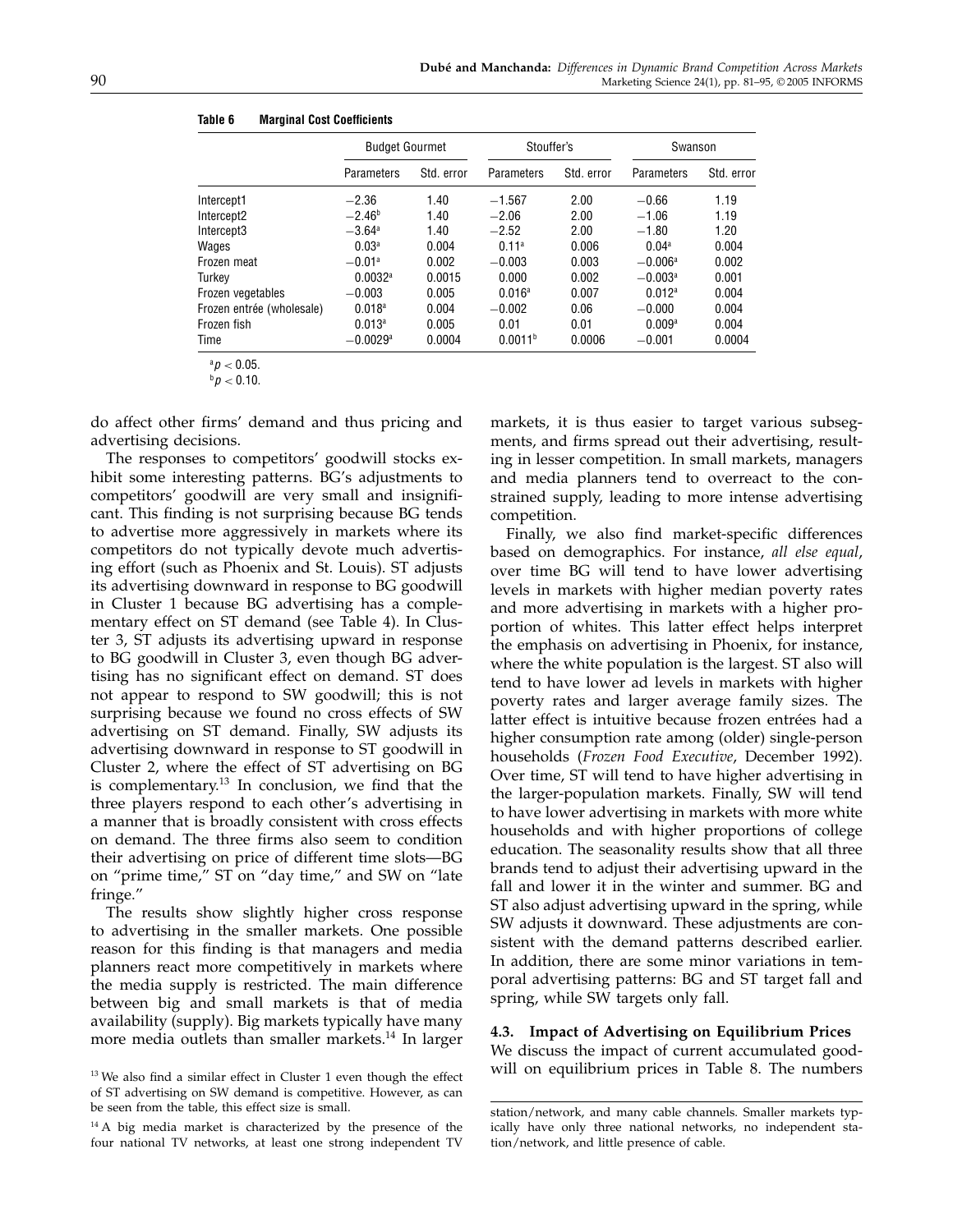|                           | <b>Budget Gourmet</b>  |            | Stouffer's          |            | Swanson               |            |  |
|---------------------------|------------------------|------------|---------------------|------------|-----------------------|------------|--|
|                           | Parameters             | Std. error | Parameters          | Std. error | Parameters            | Std. error |  |
| Intercept1                | $-2.36$                | 1.40       | $-1.567$            | 2.00       | $-0.66$               | 1.19       |  |
| Intercept2                | $-2.46b$               | 1.40       | $-2.06$             | 2.00       | $-1.06$               | 1.19       |  |
| Intercept3                | $-3.64^{\circ}$        | 1.40       | $-2.52$             | 2.00       | $-1.80$               | 1.20       |  |
| Wages                     | 0.03 <sup>a</sup>      | 0.004      | 0.11 <sup>a</sup>   | 0.006      | 0.04 <sup>a</sup>     | 0.004      |  |
| Frozen meat               | $-0.01a$               | 0.002      | $-0.003$            | 0.003      | $-0.006a$             | 0.002      |  |
| Turkey                    | $0.0032$ <sup>a</sup>  | 0.0015     | 0.000               | 0.002      | $-0.003$ <sup>a</sup> | 0.001      |  |
| Frozen vegetables         | $-0.003$               | 0.005      | 0.016a              | 0.007      | 0.012a                | 0.004      |  |
| Frozen entrée (wholesale) | 0.018 <sup>a</sup>     | 0.004      | $-0.002$            | 0.06       | $-0.000$              | 0.004      |  |
| Frozen fish               | 0.013a                 | 0.005      | 0.01                | 0.01       | 0.009a                | 0.004      |  |
| Time                      | $-0.0029$ <sup>a</sup> | 0.0004     | 0.0011 <sup>b</sup> | 0.0006     | $-0.001$              | 0.0004     |  |

Table 6 Marginal Cost Coefficients

 ${}^{\rm a} p < 0.05$ .

 $b_p < 0.10$ .

do affect other firms' demand and thus pricing and advertising decisions.

The responses to competitors' goodwill stocks exhibit some interesting patterns. BG's adjustments to competitors' goodwill are very small and insignificant. This finding is not surprising because BG tends to advertise more aggressively in markets where its competitors do not typically devote much advertising effort (such as Phoenix and St. Louis). ST adjusts its advertising downward in response to BG goodwill in Cluster 1 because BG advertising has a complementary effect on ST demand (see Table 4). In Cluster 3, ST adjusts its advertising upward in response to BG goodwill in Cluster 3, even though BG advertising has no significant effect on demand. ST does not appear to respond to SW goodwill; this is not surprising because we found no cross effects of SW advertising on ST demand. Finally, SW adjusts its advertising downward in response to ST goodwill in Cluster 2, where the effect of ST advertising on BG is complementary.<sup>13</sup> In conclusion, we find that the three players respond to each other's advertising in a manner that is broadly consistent with cross effects on demand. The three firms also seem to condition their advertising on price of different time slots—BG on "prime time," ST on "day time," and SW on "late fringe."

The results show slightly higher cross response to advertising in the smaller markets. One possible reason for this finding is that managers and media planners react more competitively in markets where the media supply is restricted. The main difference between big and small markets is that of media availability (supply). Big markets typically have many more media outlets than smaller markets.<sup>14</sup> In larger markets, it is thus easier to target various subsegments, and firms spread out their advertising, resulting in lesser competition. In small markets, managers and media planners tend to overreact to the constrained supply, leading to more intense advertising competition.

Finally, we also find market-specific differences based on demographics. For instance, all else equal, over time BG will tend to have lower advertising levels in markets with higher median poverty rates and more advertising in markets with a higher proportion of whites. This latter effect helps interpret the emphasis on advertising in Phoenix, for instance, where the white population is the largest. ST also will tend to have lower ad levels in markets with higher poverty rates and larger average family sizes. The latter effect is intuitive because frozen entrées had a higher consumption rate among (older) single-person households (Frozen Food Executive, December 1992). Over time, ST will tend to have higher advertising in the larger-population markets. Finally, SW will tend to have lower advertising in markets with more white households and with higher proportions of college education. The seasonality results show that all three brands tend to adjust their advertising upward in the fall and lower it in the winter and summer. BG and ST also adjust advertising upward in the spring, while SW adjusts it downward. These adjustments are consistent with the demand patterns described earlier. In addition, there are some minor variations in temporal advertising patterns: BG and ST target fall and spring, while SW targets only fall.

4.3. Impact of Advertising on Equilibrium Prices We discuss the impact of current accumulated goodwill on equilibrium prices in Table 8. The numbers

<sup>&</sup>lt;sup>13</sup> We also find a similar effect in Cluster 1 even though the effect of ST advertising on SW demand is competitive. However, as can be seen from the table, this effect size is small.

<sup>&</sup>lt;sup>14</sup> A big media market is characterized by the presence of the four national TV networks, at least one strong independent TV

station/network, and many cable channels. Smaller markets typically have only three national networks, no independent station/network, and little presence of cable.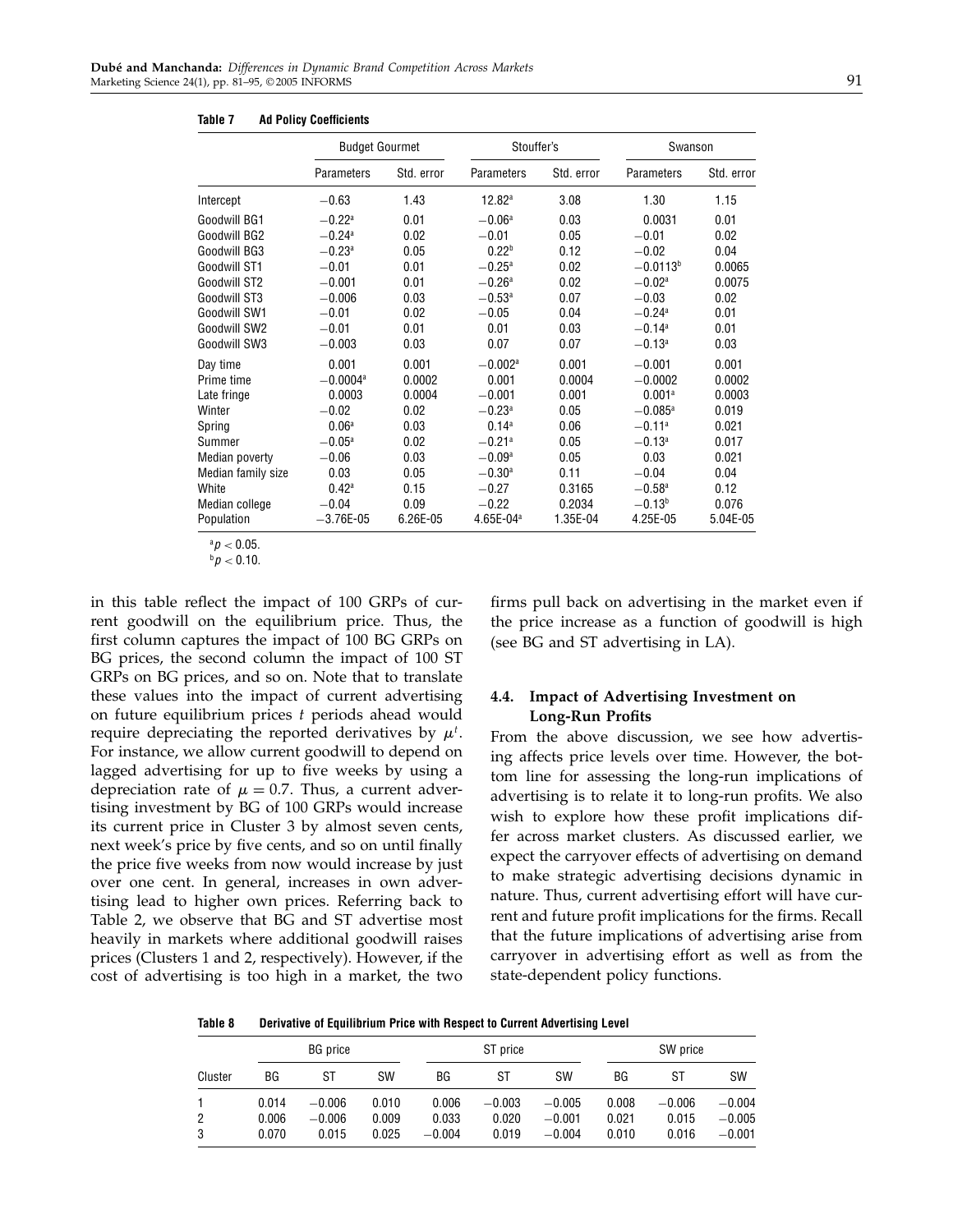|                    | <b>Budget Gourmet</b>  |            | Stouffer's            |            | Swanson               |            |  |
|--------------------|------------------------|------------|-----------------------|------------|-----------------------|------------|--|
|                    | Parameters             | Std. error | Parameters            | Std. error | <b>Parameters</b>     | Std. error |  |
| Intercept          | $-0.63$                | 1.43       | 12.82 <sup>a</sup>    | 3.08       | 1.30                  | 1.15       |  |
| Goodwill BG1       | $-0.22$ <sup>a</sup>   | 0.01       | $-0.06a$              | 0.03       | 0.0031                | 0.01       |  |
| Goodwill BG2       | $-0.24$ <sup>a</sup>   | 0.02       | $-0.01$               | 0.05       | $-0.01$               | 0.02       |  |
| Goodwill BG3       | $-0.23$ <sup>a</sup>   | 0.05       | 0.22 <sup>b</sup>     | 0.12       | $-0.02$               | 0.04       |  |
| Goodwill ST1       | $-0.01$                | 0.01       | $-0.25$ <sup>a</sup>  | 0.02       | $-0.0113^b$           | 0.0065     |  |
| Goodwill ST2       | $-0.001$               | 0.01       | $-0.26$ <sup>a</sup>  | 0.02       | $-0.02a$              | 0.0075     |  |
| Goodwill ST3       | $-0.006$               | 0.03       | $-0.53a$              | 0.07       | $-0.03$               | 0.02       |  |
| Goodwill SW1       | $-0.01$                | 0.02       | $-0.05$               | 0.04       | $-0.24$ <sup>a</sup>  | 0.01       |  |
| Goodwill SW2       | $-0.01$                | 0.01       | 0.01                  | 0.03       | $-0.14a$              | 0.01       |  |
| Goodwill SW3       | $-0.003$               | 0.03       | 0.07                  | 0.07       | $-0.13^{a}$           | 0.03       |  |
| Day time           | 0.001                  | 0.001      | $-0.002$ <sup>a</sup> | 0.001      | $-0.001$              | 0.001      |  |
| Prime time         | $-0.0004$ <sup>a</sup> | 0.0002     | 0.001                 | 0.0004     | $-0.0002$             | 0.0002     |  |
| Late fringe        | 0.0003                 | 0.0004     | $-0.001$              | 0.001      | 0.001a                | 0.0003     |  |
| Winter             | $-0.02$                | 0.02       | $-0.23$ <sup>a</sup>  | 0.05       | $-0.085$ <sup>a</sup> | 0.019      |  |
| Spring             | 0.06 <sup>a</sup>      | 0.03       | 0.14 <sup>a</sup>     | 0.06       | $-0.11$ <sup>a</sup>  | 0.021      |  |
| Summer             | $-0.05^{\text{a}}$     | 0.02       | $-0.21a$              | 0.05       | $-0.13a$              | 0.017      |  |
| Median poverty     | $-0.06$                | 0.03       | $-0.09a$              | 0.05       | 0.03                  | 0.021      |  |
| Median family size | 0.03                   | 0.05       | $-0.30$ <sup>a</sup>  | 0.11       | $-0.04$               | 0.04       |  |
| White              | 0.42 <sup>a</sup>      | 0.15       | $-0.27$               | 0.3165     | $-0.58$ <sup>a</sup>  | 0.12       |  |
| Median college     | $-0.04$                | 0.09       | $-0.22$               | 0.2034     | $-0.13^{b}$           | 0.076      |  |
| Population         | $-3.76E-05$            | 6.26E-05   | 4.65E-04 <sup>a</sup> | 1.35E-04   | 4.25E-05              | 5.04E-05   |  |

Table 7 Ad Policy Coefficients

 ${}^{\rm a}p < 0.05$ .

 $b_p < 0.10$ .

in this table reflect the impact of 100 GRPs of current goodwill on the equilibrium price. Thus, the first column captures the impact of 100 BG GRPs on BG prices, the second column the impact of 100 ST GRPs on BG prices, and so on. Note that to translate these values into the impact of current advertising on future equilibrium prices t periods ahead would require depreciating the reported derivatives by  $\mu^t$ . For instance, we allow current goodwill to depend on lagged advertising for up to five weeks by using a depreciation rate of  $\mu = 0.7$ . Thus, a current advertising investment by BG of 100 GRPs would increase its current price in Cluster 3 by almost seven cents, next week's price by five cents, and so on until finally the price five weeks from now would increase by just over one cent. In general, increases in own advertising lead to higher own prices. Referring back to Table 2, we observe that BG and ST advertise most heavily in markets where additional goodwill raises prices (Clusters 1 and 2, respectively). However, if the cost of advertising is too high in a market, the two

firms pull back on advertising in the market even if the price increase as a function of goodwill is high (see BG and ST advertising in LA).

## 4.4. Impact of Advertising Investment on Long-Run Profits

From the above discussion, we see how advertising affects price levels over time. However, the bottom line for assessing the long-run implications of advertising is to relate it to long-run profits. We also wish to explore how these profit implications differ across market clusters. As discussed earlier, we expect the carryover effects of advertising on demand to make strategic advertising decisions dynamic in nature. Thus, current advertising effort will have current and future profit implications for the firms. Recall that the future implications of advertising arise from carryover in advertising effort as well as from the state-dependent policy functions.

Table 8 Derivative of Equilibrium Price with Respect to Current Advertising Level

|         | <b>BG</b> price |                   |                |                   | ST price       |                      | SW price       |                |                      |  |
|---------|-----------------|-------------------|----------------|-------------------|----------------|----------------------|----------------|----------------|----------------------|--|
| Cluster | ВG              | ST                | SW             | ВG                | ST             | SW                   | ВG             | ST             | SW                   |  |
|         | 0.014           | $-0.006$          | 0.010          | 0.006             | $-0.003$       | $-0.005$             | 0.008          | $-0.006$       | $-0.004$             |  |
| 2<br>3  | 0.006<br>0.070  | $-0.006$<br>0.015 | 0.009<br>0.025 | 0.033<br>$-0.004$ | 0.020<br>0.019 | $-0.001$<br>$-0.004$ | 0.021<br>0.010 | 0.015<br>0.016 | $-0.005$<br>$-0.001$ |  |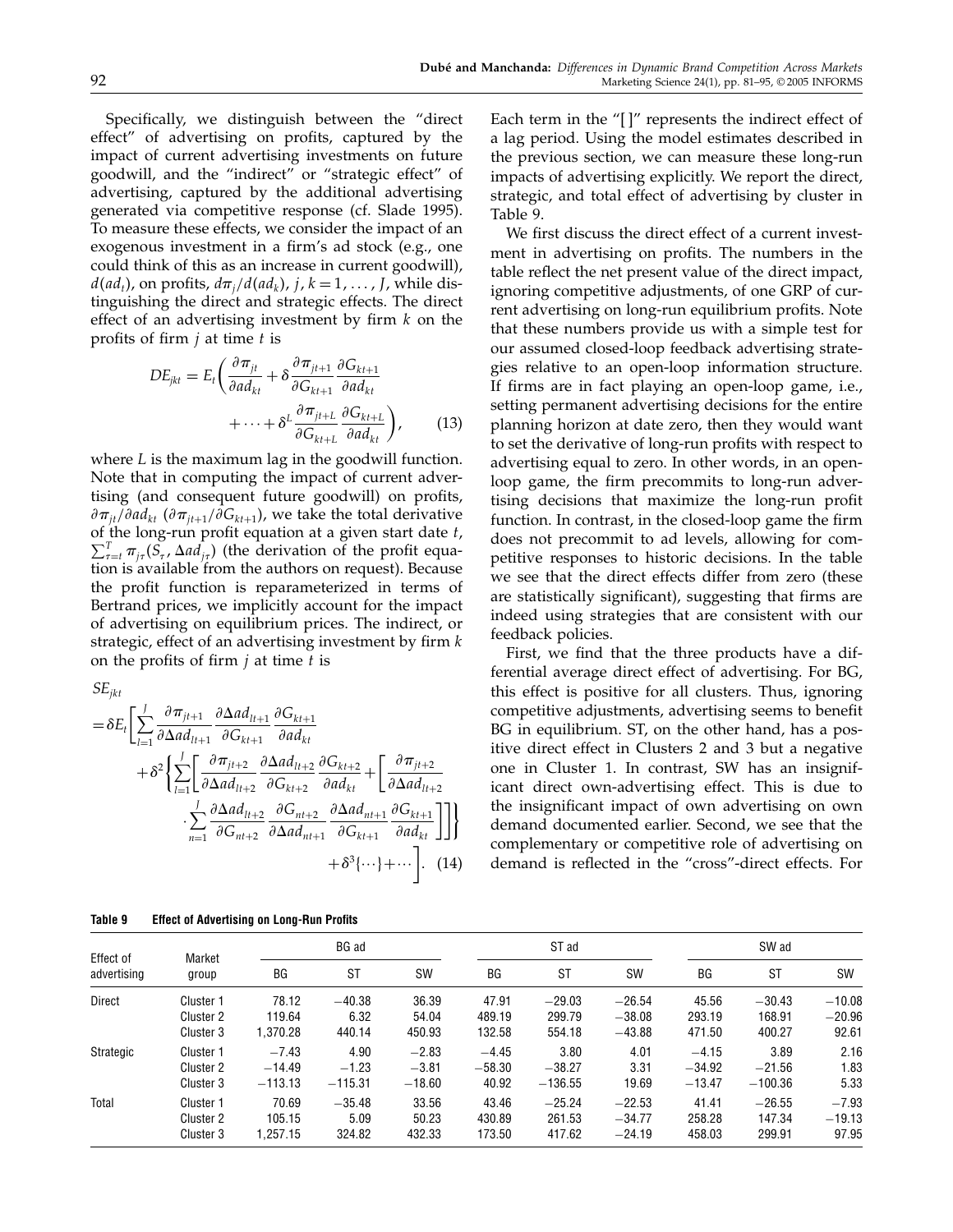Specifically, we distinguish between the "direct effect" of advertising on profits, captured by the impact of current advertising investments on future goodwill, and the "indirect" or "strategic effect" of advertising, captured by the additional advertising generated via competitive response (cf. Slade 1995). To measure these effects, we consider the impact of an exogenous investment in a firm's ad stock (e.g., one could think of this as an increase in current goodwill),  $d(ad_t)$ , on profits,  $d\pi_i/d(ad_k)$ , j,  $k = 1, \ldots, J$ , while distinguishing the direct and strategic effects. The direct effect of an advertising investment by firm  $k$  on the profits of firm  $j$  at time  $t$  is

$$
DE_{jkt} = E_t \left( \frac{\partial \pi_{jt}}{\partial ad_{kt}} + \delta \frac{\partial \pi_{jt+1}}{\partial G_{kt+1}} \frac{\partial G_{kt+1}}{\partial ad_{kt}} + \cdots + \delta^L \frac{\partial \pi_{jt+L}}{\partial G_{kt+L}} \frac{\partial G_{kt+L}}{\partial ad_{kt}} \right), \tag{13}
$$

where  $L$  is the maximum lag in the goodwill function. Note that in computing the impact of current advertising (and consequent future goodwill) on profits,  $\partial \pi_{jt}/\partial ad_{kt}$  ( $\partial \pi_{jt+1}/\partial G_{kt+1}$ ), we take the total derivative of the long-run profit equation at a given start date t,  $\sum_{\tau=t}^{T} \pi_{j\tau}(\overline{S_{\tau}}, \Delta a d_{j\tau})$  (the derivation of the profit equation is available from the authors on request). Because the profit function is reparameterized in terms of Bertrand prices, we implicitly account for the impact of advertising on equilibrium prices. The indirect, or strategic, effect of an advertising investment by firm k on the profits of firm  $j$  at time  $t$  is

$$
SE_{jkt}
$$
\n
$$
= \delta E_t \left[ \sum_{l=1}^J \frac{\partial \pi_{j_{t+1}}}{\partial \Delta a d_{l_{t+1}}} \frac{\partial \Delta a d_{l_{t+1}}}{\partial G_{k_{t+1}}} \frac{\partial G_{k_{t+1}}}{\partial a d_{k_{t}}} + \delta^2 \left\{ \sum_{l=1}^J \left[ \frac{\partial \pi_{j_{t+2}}}{\partial \Delta a d_{l_{t+2}}} \frac{\partial \Delta a d_{l_{t+2}}}{\partial G_{k_{t+2}}} \frac{\partial G_{k_{t+2}}}{\partial a d_{k_{t}}} + \left[ \frac{\partial \pi_{j_{t+2}}}{\partial \Delta a d_{l_{t+2}}} \frac{\partial G_{k_{t+2}}}{\partial G_{k_{t+1}}} \frac{\partial G_{k_{t+1}}}{\partial G_{k_{t+1}}} \frac{\partial G_{k_{t+1}}}{\partial a d_{k_{t}}} \right] \right] \right\}
$$
\n
$$
+ \delta^3 \{ \cdots \} + \cdots \left]. \quad (14)
$$

| Table 9 |  | <b>Effect of Advertising on Long-Run Profits</b> |  |  |  |
|---------|--|--------------------------------------------------|--|--|--|
|---------|--|--------------------------------------------------|--|--|--|

Each term in the "[ ]" represents the indirect effect of a lag period. Using the model estimates described in the previous section, we can measure these long-run impacts of advertising explicitly. We report the direct, strategic, and total effect of advertising by cluster in Table 9.

We first discuss the direct effect of a current investment in advertising on profits. The numbers in the table reflect the net present value of the direct impact, ignoring competitive adjustments, of one GRP of current advertising on long-run equilibrium profits. Note that these numbers provide us with a simple test for our assumed closed-loop feedback advertising strategies relative to an open-loop information structure. If firms are in fact playing an open-loop game, i.e., setting permanent advertising decisions for the entire planning horizon at date zero, then they would want to set the derivative of long-run profits with respect to advertising equal to zero. In other words, in an openloop game, the firm precommits to long-run advertising decisions that maximize the long-run profit function. In contrast, in the closed-loop game the firm does not precommit to ad levels, allowing for competitive responses to historic decisions. In the table we see that the direct effects differ from zero (these are statistically significant), suggesting that firms are indeed using strategies that are consistent with our feedback policies.

First, we find that the three products have a differential average direct effect of advertising. For BG, this effect is positive for all clusters. Thus, ignoring competitive adjustments, advertising seems to benefit BG in equilibrium. ST, on the other hand, has a positive direct effect in Clusters 2 and 3 but a negative one in Cluster 1. In contrast, SW has an insignificant direct own-advertising effect. This is due to the insignificant impact of own advertising on own demand documented earlier. Second, we see that the complementary or competitive role of advertising on demand is reflected in the "cross"-direct effects. For

| Effect of<br>advertising | Market<br>group | BG ad     |           |           | ST ad    |           |           | SW ad    |           |          |
|--------------------------|-----------------|-----------|-----------|-----------|----------|-----------|-----------|----------|-----------|----------|
|                          |                 | BG        | ST        | <b>SW</b> | BG       | <b>ST</b> | <b>SW</b> | BG       | <b>ST</b> | SW       |
| Direct                   | Cluster 1       | 78.12     | $-40.38$  | 36.39     | 47.91    | $-29.03$  | $-26.54$  | 45.56    | $-30.43$  | $-10.08$ |
|                          | Cluster 2       | 119.64    | 6.32      | 54.04     | 489.19   | 299.79    | $-38.08$  | 293.19   | 168.91    | $-20.96$ |
|                          | Cluster 3       | 1,370.28  | 440.14    | 450.93    | 132.58   | 554.18    | $-43.88$  | 471.50   | 400.27    | 92.61    |
| Strategic                | Cluster 1       | $-7.43$   | 4.90      | $-2.83$   | $-4.45$  | 3.80      | 4.01      | $-4.15$  | 3.89      | 2.16     |
|                          | Cluster 2       | $-14.49$  | $-1.23$   | $-3.81$   | $-58.30$ | $-38.27$  | 3.31      | $-34.92$ | $-21.56$  | 1.83     |
|                          | Cluster 3       | $-113.13$ | $-115.31$ | $-18.60$  | 40.92    | $-136.55$ | 19.69     | $-13.47$ | $-100.36$ | 5.33     |
| Total                    | Cluster 1       | 70.69     | $-35.48$  | 33.56     | 43.46    | $-25.24$  | $-22.53$  | 41.41    | $-26.55$  | $-7.93$  |
|                          | Cluster 2       | 105.15    | 5.09      | 50.23     | 430.89   | 261.53    | $-34.77$  | 258.28   | 147.34    | $-19.13$ |
|                          | Cluster 3       | 1,257.15  | 324.82    | 432.33    | 173.50   | 417.62    | $-24.19$  | 458.03   | 299.91    | 97.95    |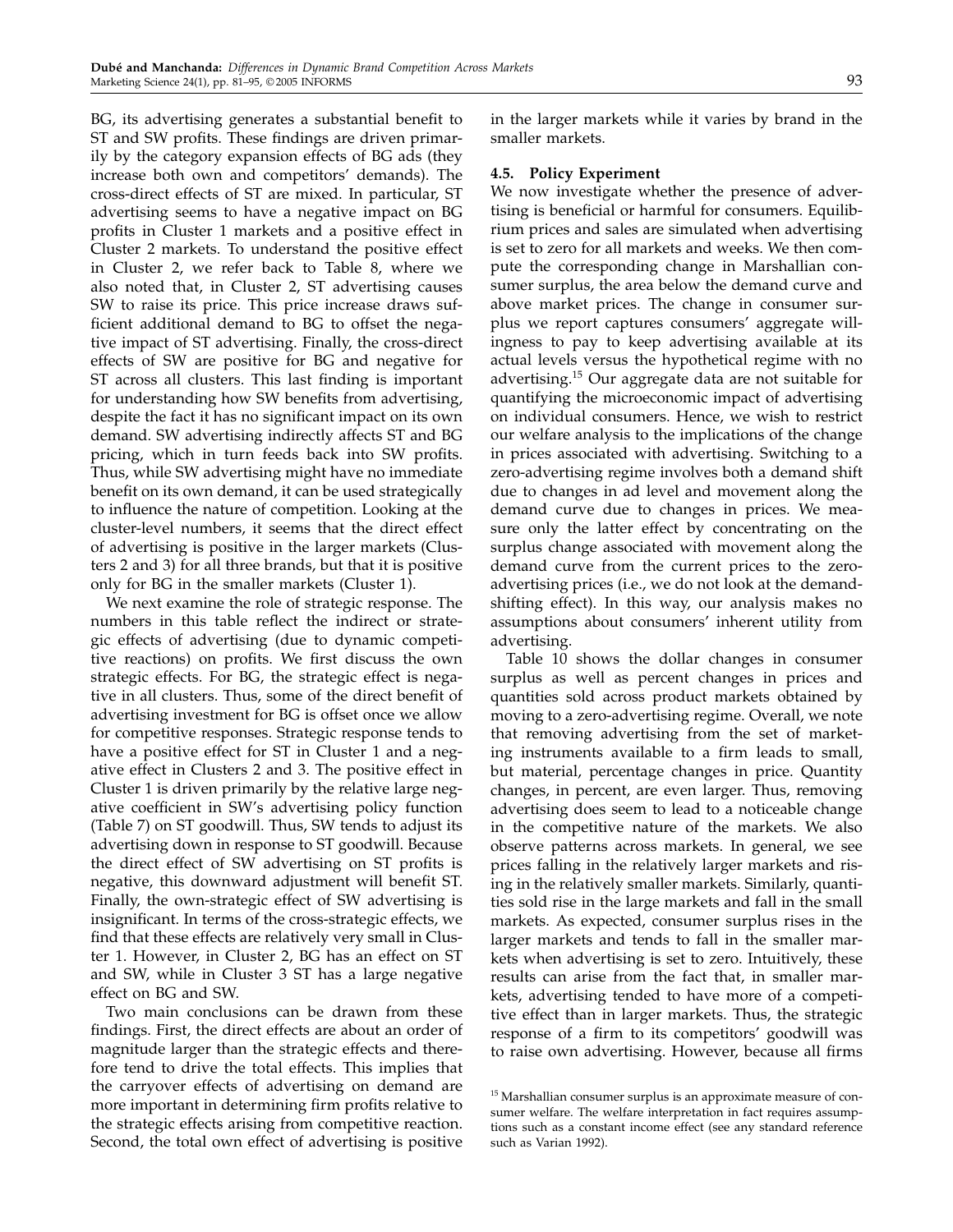BG, its advertising generates a substantial benefit to ST and SW profits. These findings are driven primarily by the category expansion effects of BG ads (they increase both own and competitors' demands). The cross-direct effects of ST are mixed. In particular, ST advertising seems to have a negative impact on BG profits in Cluster 1 markets and a positive effect in Cluster 2 markets. To understand the positive effect in Cluster 2, we refer back to Table 8, where we also noted that, in Cluster 2, ST advertising causes SW to raise its price. This price increase draws sufficient additional demand to BG to offset the negative impact of ST advertising. Finally, the cross-direct effects of SW are positive for BG and negative for ST across all clusters. This last finding is important for understanding how SW benefits from advertising, despite the fact it has no significant impact on its own demand. SW advertising indirectly affects ST and BG pricing, which in turn feeds back into SW profits. Thus, while SW advertising might have no immediate benefit on its own demand, it can be used strategically to influence the nature of competition. Looking at the cluster-level numbers, it seems that the direct effect of advertising is positive in the larger markets (Clusters 2 and 3) for all three brands, but that it is positive only for BG in the smaller markets (Cluster 1).

We next examine the role of strategic response. The numbers in this table reflect the indirect or strategic effects of advertising (due to dynamic competitive reactions) on profits. We first discuss the own strategic effects. For BG, the strategic effect is negative in all clusters. Thus, some of the direct benefit of advertising investment for BG is offset once we allow for competitive responses. Strategic response tends to have a positive effect for ST in Cluster 1 and a negative effect in Clusters 2 and 3. The positive effect in Cluster 1 is driven primarily by the relative large negative coefficient in SW's advertising policy function (Table 7) on ST goodwill. Thus, SW tends to adjust its advertising down in response to ST goodwill. Because the direct effect of SW advertising on ST profits is negative, this downward adjustment will benefit ST. Finally, the own-strategic effect of SW advertising is insignificant. In terms of the cross-strategic effects, we find that these effects are relatively very small in Cluster 1. However, in Cluster 2, BG has an effect on ST and SW, while in Cluster 3 ST has a large negative effect on BG and SW.

Two main conclusions can be drawn from these findings. First, the direct effects are about an order of magnitude larger than the strategic effects and therefore tend to drive the total effects. This implies that the carryover effects of advertising on demand are more important in determining firm profits relative to the strategic effects arising from competitive reaction. Second, the total own effect of advertising is positive

in the larger markets while it varies by brand in the smaller markets.

### 4.5. Policy Experiment

We now investigate whether the presence of advertising is beneficial or harmful for consumers. Equilibrium prices and sales are simulated when advertising is set to zero for all markets and weeks. We then compute the corresponding change in Marshallian consumer surplus, the area below the demand curve and above market prices. The change in consumer surplus we report captures consumers' aggregate willingness to pay to keep advertising available at its actual levels versus the hypothetical regime with no advertising.<sup>15</sup> Our aggregate data are not suitable for quantifying the microeconomic impact of advertising on individual consumers. Hence, we wish to restrict our welfare analysis to the implications of the change in prices associated with advertising. Switching to a zero-advertising regime involves both a demand shift due to changes in ad level and movement along the demand curve due to changes in prices. We measure only the latter effect by concentrating on the surplus change associated with movement along the demand curve from the current prices to the zeroadvertising prices (i.e., we do not look at the demandshifting effect). In this way, our analysis makes no assumptions about consumers' inherent utility from advertising.

Table 10 shows the dollar changes in consumer surplus as well as percent changes in prices and quantities sold across product markets obtained by moving to a zero-advertising regime. Overall, we note that removing advertising from the set of marketing instruments available to a firm leads to small, but material, percentage changes in price. Quantity changes, in percent, are even larger. Thus, removing advertising does seem to lead to a noticeable change in the competitive nature of the markets. We also observe patterns across markets. In general, we see prices falling in the relatively larger markets and rising in the relatively smaller markets. Similarly, quantities sold rise in the large markets and fall in the small markets. As expected, consumer surplus rises in the larger markets and tends to fall in the smaller markets when advertising is set to zero. Intuitively, these results can arise from the fact that, in smaller markets, advertising tended to have more of a competitive effect than in larger markets. Thus, the strategic response of a firm to its competitors' goodwill was to raise own advertising. However, because all firms

<sup>15</sup> Marshallian consumer surplus is an approximate measure of consumer welfare. The welfare interpretation in fact requires assumptions such as a constant income effect (see any standard reference such as Varian 1992).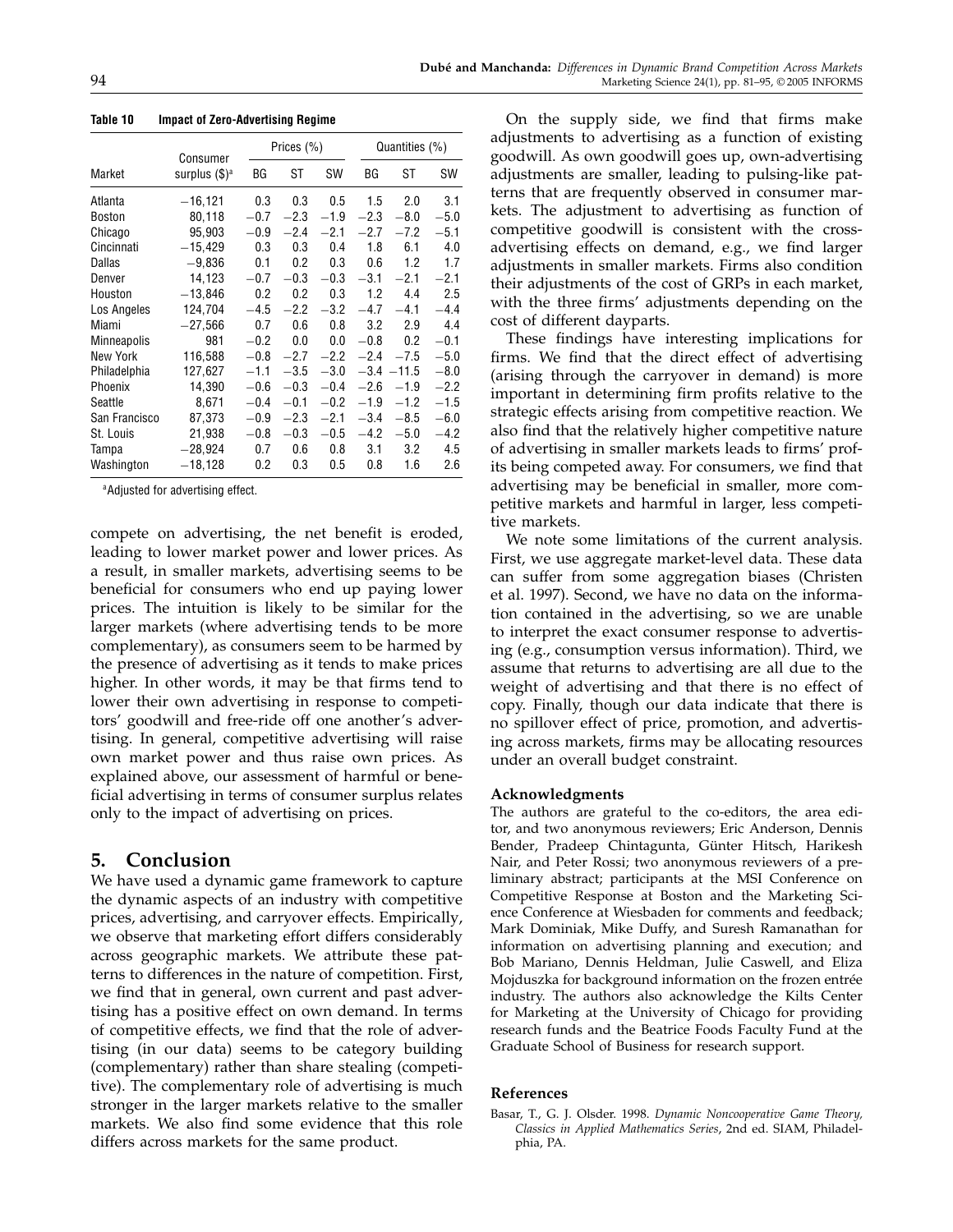|                    | Consumer                          |        | Prices (%) |        |        | Quantities (%) |        |  |  |
|--------------------|-----------------------------------|--------|------------|--------|--------|----------------|--------|--|--|
| Market             | surplus $(\text{$\mathbb{S}$})^a$ | ВG     | ST         | SW     | ВG     | ST             | SW     |  |  |
| Atlanta            | $-16,121$                         | 0.3    | 0.3        | 0.5    | 1.5    | 2.0            | 3.1    |  |  |
| Boston             | 80,118                            | $-0.7$ | $-2.3$     | $-1.9$ | $-2.3$ | $-8.0$         | $-5.0$ |  |  |
| Chicago            | 95,903                            | $-0.9$ | $-2.4$     | $-2.1$ | $-2.7$ | $-7.2$         | $-5.1$ |  |  |
| Cincinnati         | $-15,429$                         | 0.3    | 0.3        | 0.4    | 1.8    | 6.1            | 4.0    |  |  |
| Dallas             | $-9,836$                          | 0.1    | 0.2        | 0.3    | 0.6    | 1.2            | 1.7    |  |  |
| Denver             | 14,123                            | $-0.7$ | $-0.3$     | $-0.3$ | $-3.1$ | $-2.1$         | $-2.1$ |  |  |
| Houston            | $-13,846$                         | 0.2    | 0.2        | 0.3    | 1.2    | 4.4            | 2.5    |  |  |
| Los Angeles        | 124,704                           | $-4.5$ | $-2.2$     | $-3.2$ | $-4.7$ | $-4.1$         | $-4.4$ |  |  |
| Miami              | $-27,566$                         | 0.7    | 0.6        | 0.8    | 3.2    | 2.9            | 4.4    |  |  |
| <b>Minneapolis</b> | 981                               | $-0.2$ | 0.0        | 0.0    | $-0.8$ | 0.2            | $-0.1$ |  |  |
| New York           | 116,588                           | $-0.8$ | $-2.7$     | $-2.2$ | $-2.4$ | $-7.5$         | $-5.0$ |  |  |
| Philadelphia       | 127,627                           | $-1.1$ | $-3.5$     | $-3.0$ |        | $-3.4 -11.5$   | $-8.0$ |  |  |
| Phoenix            | 14.390                            | $-0.6$ | $-0.3$     | $-0.4$ | $-2.6$ | $-1.9$         | $-2.2$ |  |  |
| Seattle            | 8,671                             | $-0.4$ | $-0.1$     | $-0.2$ | $-1.9$ | $-1.2$         | $-1.5$ |  |  |
| San Francisco      | 87,373                            | $-0.9$ | $-2.3$     | $-2.1$ | $-3.4$ | $-8.5$         | $-6.0$ |  |  |
| St. Louis          | 21.938                            | $-0.8$ | $-0.3$     | $-0.5$ | $-4.2$ | $-5.0$         | $-4.2$ |  |  |
| Tampa              | $-28,924$                         | 0.7    | 0.6        | 0.8    | 3.1    | 3.2            | 4.5    |  |  |
| Washington         | $-18,128$                         | 0.2    | 0.3        | 0.5    | 0.8    | 1.6            | 2.6    |  |  |

Table 10 Impact of Zero-Advertising Regime

a Adjusted for advertising effect.

compete on advertising, the net benefit is eroded, leading to lower market power and lower prices. As a result, in smaller markets, advertising seems to be beneficial for consumers who end up paying lower prices. The intuition is likely to be similar for the larger markets (where advertising tends to be more complementary), as consumers seem to be harmed by the presence of advertising as it tends to make prices higher. In other words, it may be that firms tend to lower their own advertising in response to competitors' goodwill and free-ride off one another's advertising. In general, competitive advertising will raise own market power and thus raise own prices. As explained above, our assessment of harmful or beneficial advertising in terms of consumer surplus relates only to the impact of advertising on prices.

## 5. Conclusion

We have used a dynamic game framework to capture the dynamic aspects of an industry with competitive prices, advertising, and carryover effects. Empirically, we observe that marketing effort differs considerably across geographic markets. We attribute these patterns to differences in the nature of competition. First, we find that in general, own current and past advertising has a positive effect on own demand. In terms of competitive effects, we find that the role of advertising (in our data) seems to be category building (complementary) rather than share stealing (competitive). The complementary role of advertising is much stronger in the larger markets relative to the smaller markets. We also find some evidence that this role differs across markets for the same product.

On the supply side, we find that firms make adjustments to advertising as a function of existing goodwill. As own goodwill goes up, own-advertising adjustments are smaller, leading to pulsing-like patterns that are frequently observed in consumer markets. The adjustment to advertising as function of competitive goodwill is consistent with the crossadvertising effects on demand, e.g., we find larger adjustments in smaller markets. Firms also condition their adjustments of the cost of GRPs in each market, with the three firms' adjustments depending on the cost of different dayparts.

These findings have interesting implications for firms. We find that the direct effect of advertising (arising through the carryover in demand) is more important in determining firm profits relative to the strategic effects arising from competitive reaction. We also find that the relatively higher competitive nature of advertising in smaller markets leads to firms' profits being competed away. For consumers, we find that advertising may be beneficial in smaller, more competitive markets and harmful in larger, less competitive markets.

We note some limitations of the current analysis. First, we use aggregate market-level data. These data can suffer from some aggregation biases (Christen et al. 1997). Second, we have no data on the information contained in the advertising, so we are unable to interpret the exact consumer response to advertising (e.g., consumption versus information). Third, we assume that returns to advertising are all due to the weight of advertising and that there is no effect of copy. Finally, though our data indicate that there is no spillover effect of price, promotion, and advertising across markets, firms may be allocating resources under an overall budget constraint.

#### Acknowledgments

The authors are grateful to the co-editors, the area editor, and two anonymous reviewers; Eric Anderson, Dennis Bender, Pradeep Chintagunta, Günter Hitsch, Harikesh Nair, and Peter Rossi; two anonymous reviewers of a preliminary abstract; participants at the MSI Conference on Competitive Response at Boston and the Marketing Science Conference at Wiesbaden for comments and feedback; Mark Dominiak, Mike Duffy, and Suresh Ramanathan for information on advertising planning and execution; and Bob Mariano, Dennis Heldman, Julie Caswell, and Eliza Mojduszka for background information on the frozen entrée industry. The authors also acknowledge the Kilts Center for Marketing at the University of Chicago for providing research funds and the Beatrice Foods Faculty Fund at the Graduate School of Business for research support.

#### References

Basar, T., G. J. Olsder. 1998. Dynamic Noncooperative Game Theory, Classics in Applied Mathematics Series, 2nd ed. SIAM, Philadelphia, PA.